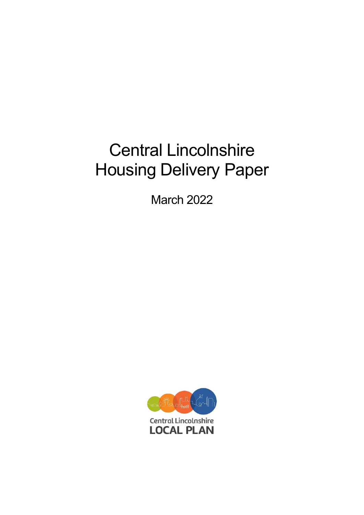# Central Lincolnshire Housing Delivery Paper

March 2022

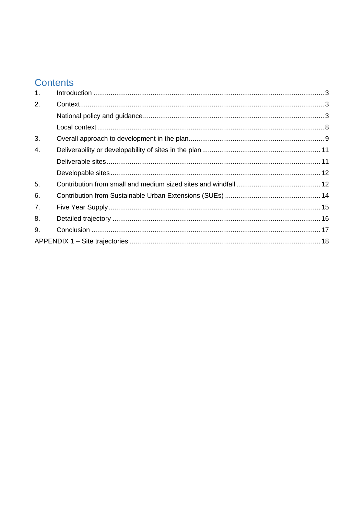# **Contents**

| $\mathbf{1}$ . |  |
|----------------|--|
| 2.             |  |
|                |  |
|                |  |
| 3.             |  |
| 4.             |  |
|                |  |
|                |  |
| 5.             |  |
| 6.             |  |
| 7.             |  |
| 8.             |  |
| 9.             |  |
|                |  |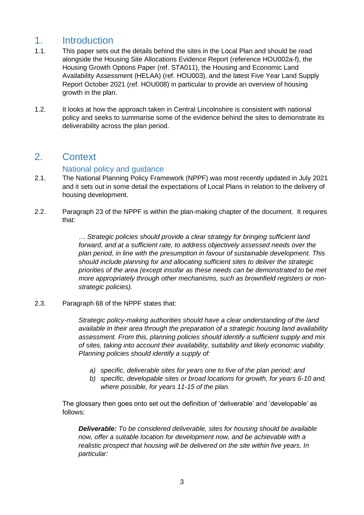# <span id="page-2-0"></span>1. Introduction

- 1.1. This paper sets out the details behind the sites in the Local Plan and should be read alongside the Housing Site Allocations Evidence Report (reference HOU002a-f), the Housing Growth Options Paper (ref. STA011), the Housing and Economic Land Availability Assessment (HELAA) (ref. HOU003), and the latest Five Year Land Supply Report October 2021 (ref. HOU008) in particular to provide an overview of housing growth in the plan.
- 1.2. It looks at how the approach taken in Central Lincolnshire is consistent with national policy and seeks to summarise some of the evidence behind the sites to demonstrate its deliverability across the plan period.

# <span id="page-2-1"></span>2. Context

# National policy and guidance

- <span id="page-2-2"></span>2.1. The National Planning Policy Framework (NPPF) was most recently updated in July 2021 and it sets out in some detail the expectations of Local Plans in relation to the delivery of housing development.
- 2.2. Paragraph 23 of the NPPF is within the plan-making chapter of the document. It requires that:

… *Strategic policies should provide a clear strategy for bringing sufficient land forward, and at a sufficient rate, to address objectively assessed needs over the plan period, in line with the presumption in favour of sustainable development. This should include planning for and allocating sufficient sites to deliver the strategic priorities of the area (except insofar as these needs can be demonstrated to be met more appropriately through other mechanisms, such as brownfield registers or nonstrategic policies).*

### 2.3. Paragraph 68 of the NPPF states that:

*Strategic policy-making authorities should have a clear understanding of the land available in their area through the preparation of a strategic housing land availability assessment. From this, planning policies should identify a sufficient supply and mix of sites, taking into account their availability, suitability and likely economic viability. Planning policies should identify a supply of:*

- *a) specific, deliverable sites for years one to five of the plan period; and*
- *b) specific, developable sites or broad locations for growth, for years 6-10 and, where possible, for years 11-15 of the plan.*

The glossary then goes onto set out the definition of 'deliverable' and 'developable' as follows:

*Deliverable: To be considered deliverable, sites for housing should be available now, offer a suitable location for development now, and be achievable with a realistic prospect that housing will be delivered on the site within five years. In particular:*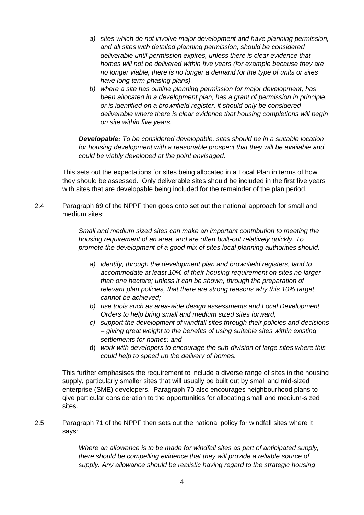- *a) sites which do not involve major development and have planning permission, and all sites with detailed planning permission, should be considered deliverable until permission expires, unless there is clear evidence that homes will not be delivered within five years (for example because they are no longer viable, there is no longer a demand for the type of units or sites have long term phasing plans).*
- *b) where a site has outline planning permission for major development, has been allocated in a development plan, has a grant of permission in principle, or is identified on a brownfield register, it should only be considered deliverable where there is clear evidence that housing completions will begin on site within five years.*

*Developable: To be considered developable, sites should be in a suitable location for housing development with a reasonable prospect that they will be available and could be viably developed at the point envisaged.*

This sets out the expectations for sites being allocated in a Local Plan in terms of how they should be assessed. Only deliverable sites should be included in the first five years with sites that are developable being included for the remainder of the plan period.

2.4. Paragraph 69 of the NPPF then goes onto set out the national approach for small and medium sites:

> *Small and medium sized sites can make an important contribution to meeting the housing requirement of an area, and are often built-out relatively quickly. To promote the development of a good mix of sites local planning authorities should:*

- *a) identify, through the development plan and brownfield registers, land to accommodate at least 10% of their housing requirement on sites no larger than one hectare; unless it can be shown, through the preparation of relevant plan policies, that there are strong reasons why this 10% target cannot be achieved;*
- *b) use tools such as area-wide design assessments and Local Development Orders to help bring small and medium sized sites forward;*
- *c) support the development of windfall sites through their policies and decisions – giving great weight to the benefits of using suitable sites within existing settlements for homes; and*
- d) *work with developers to encourage the sub-division of large sites where this could help to speed up the delivery of homes.*

This further emphasises the requirement to include a diverse range of sites in the housing supply, particularly smaller sites that will usually be built out by small and mid-sized enterprise (SME) developers. Paragraph 70 also encourages neighbourhood plans to give particular consideration to the opportunities for allocating small and medium-sized sites.

2.5. Paragraph 71 of the NPPF then sets out the national policy for windfall sites where it says:

> *Where an allowance is to be made for windfall sites as part of anticipated supply, there should be compelling evidence that they will provide a reliable source of supply. Any allowance should be realistic having regard to the strategic housing*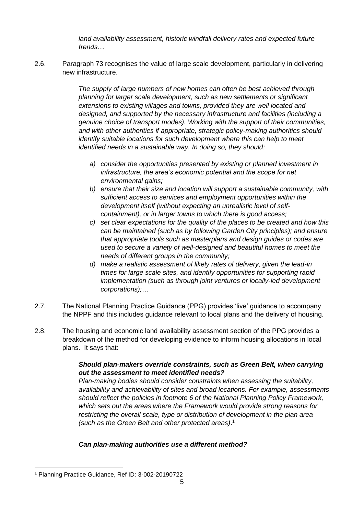*land availability assessment, historic windfall delivery rates and expected future trends…*

2.6. Paragraph 73 recognises the value of large scale development, particularly in delivering new infrastructure.

> *The supply of large numbers of new homes can often be best achieved through planning for larger scale development, such as new settlements or significant extensions to existing villages and towns, provided they are well located and designed, and supported by the necessary infrastructure and facilities (including a genuine choice of transport modes). Working with the support of their communities, and with other authorities if appropriate, strategic policy-making authorities should identify suitable locations for such development where this can help to meet identified needs in a sustainable way. In doing so, they should:*

- *a) consider the opportunities presented by existing or planned investment in infrastructure, the area's economic potential and the scope for net environmental gains;*
- *b) ensure that their size and location will support a sustainable community, with sufficient access to services and employment opportunities within the development itself (without expecting an unrealistic level of selfcontainment), or in larger towns to which there is good access;*
- *c) set clear expectations for the quality of the places to be created and how this can be maintained (such as by following Garden City principles); and ensure that appropriate tools such as masterplans and design guides or codes are used to secure a variety of well-designed and beautiful homes to meet the needs of different groups in the community;*
- *d) make a realistic assessment of likely rates of delivery, given the lead-in times for large scale sites, and identify opportunities for supporting rapid implementation (such as through joint ventures or locally-led development corporations);…*
- 2.7. The National Planning Practice Guidance (PPG) provides 'live' guidance to accompany the NPPF and this includes guidance relevant to local plans and the delivery of housing.
- 2.8. The housing and economic land availability assessment section of the PPG provides a breakdown of the method for developing evidence to inform housing allocations in local plans. It says that:

### *Should plan-makers override constraints, such as Green Belt, when carrying out the assessment to meet identified needs?*

*Plan-making bodies should consider constraints when assessing the suitability, availability and achievability of sites and broad locations. For example, assessments should reflect the policies in footnote 6 of the National Planning Policy Framework, which sets out the areas where the Framework would provide strong reasons for restricting the overall scale, type or distribution of development in the plan area (such as the Green Belt and other protected areas)*. 1

### *Can plan-making authorities use a different method?*

<sup>1</sup> Planning Practice Guidance, Ref ID: 3-002-20190722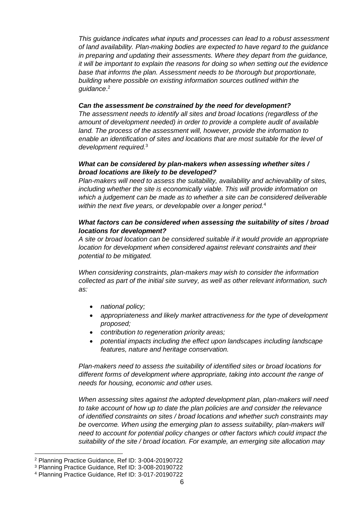*This guidance indicates what inputs and processes can lead to a robust assessment of land availability. Plan-making bodies are expected to have regard to the guidance in preparing and updating their assessments. Where they depart from the guidance, it will be important to explain the reasons for doing so when setting out the evidence base that informs the plan. Assessment needs to be thorough but proportionate, building where possible on existing information sources outlined within the guidance*. 2

### *Can the assessment be constrained by the need for development?*

*The assessment needs to identify all sites and broad locations (regardless of the amount of development needed) in order to provide a complete audit of available*  land. The process of the assessment will, however, provide the information to *enable an identification of sites and locations that are most suitable for the level of development required.*<sup>3</sup>

### *What can be considered by plan-makers when assessing whether sites / broad locations are likely to be developed?*

*Plan-makers will need to assess the suitability, availability and achievability of sites, including whether the site is economically viable. This will provide information on which a judgement can be made as to whether a site can be considered deliverable within the next five years, or developable over a longer period.*<sup>4</sup>

### *What factors can be considered when assessing the suitability of sites / broad locations for development?*

*A site or broad location can be considered suitable if it would provide an appropriate location for development when considered against relevant constraints and their potential to be mitigated.*

*When considering constraints, plan-makers may wish to consider the information collected as part of the initial site survey, as well as other relevant information, such as:*

- *national policy;*
- *appropriateness and likely market attractiveness for the type of development proposed;*
- *contribution to regeneration priority areas;*
- *potential impacts including the effect upon landscapes including landscape features, nature and heritage conservation.*

*Plan-makers need to assess the suitability of identified sites or broad locations for different forms of development where appropriate, taking into account the range of needs for housing, economic and other uses.*

*When assessing sites against the adopted development plan, plan-makers will need to take account of how up to date the plan policies are and consider the relevance of identified constraints on sites / broad locations and whether such constraints may be overcome. When using the emerging plan to assess suitability, plan-makers will need to account for potential policy changes or other factors which could impact the suitability of the site / broad location. For example, an emerging site allocation may* 

<sup>2</sup> Planning Practice Guidance, Ref ID: 3-004-20190722

<sup>3</sup> Planning Practice Guidance, Ref ID: 3-008-20190722

<sup>4</sup> Planning Practice Guidance, Ref ID: 3-017-20190722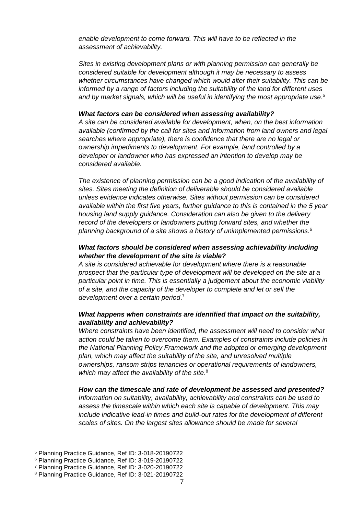*enable development to come forward. This will have to be reflected in the assessment of achievability.*

*Sites in existing development plans or with planning permission can generally be considered suitable for development although it may be necessary to assess whether circumstances have changed which would alter their suitability. This can be informed by a range of factors including the suitability of the land for different uses and by market signals, which will be useful in identifying the most appropriate use*. 5

### *What factors can be considered when assessing availability?*

*A site can be considered available for development, when, on the best information available (confirmed by the call for sites and information from land owners and legal searches where appropriate), there is confidence that there are no legal or ownership impediments to development. For example, land controlled by a developer or landowner who has expressed an intention to develop may be considered available.*

*The existence of planning permission can be a good indication of the availability of sites. Sites meeting the definition of deliverable should be considered available unless evidence indicates otherwise. Sites without permission can be considered available within the first five years, further guidance to this is contained in the 5 year housing land supply guidance. Consideration can also be given to the delivery record of the developers or landowners putting forward sites, and whether the planning background of a site shows a history of unimplemented permissions*. 6

### *What factors should be considered when assessing achievability including whether the development of the site is viable?*

*A site is considered achievable for development where there is a reasonable prospect that the particular type of development will be developed on the site at a particular point in time. This is essentially a judgement about the economic viability of a site, and the capacity of the developer to complete and let or sell the development over a certain period*. 7

### *What happens when constraints are identified that impact on the suitability, availability and achievability?*

*Where constraints have been identified, the assessment will need to consider what action could be taken to overcome them. Examples of constraints include policies in the National Planning Policy Framework and the adopted or emerging development plan, which may affect the suitability of the site, and unresolved multiple ownerships, ransom strips tenancies or operational requirements of landowners, which may affect the availability of the site*. 8

#### *How can the timescale and rate of development be assessed and presented?*

*Information on suitability, availability, achievability and constraints can be used to assess the timescale within which each site is capable of development. This may include indicative lead-in times and build-out rates for the development of different scales of sites. On the largest sites allowance should be made for several* 

<sup>5</sup> Planning Practice Guidance, Ref ID: 3-018-20190722

<sup>6</sup> Planning Practice Guidance, Ref ID: 3-019-20190722

<sup>7</sup> Planning Practice Guidance, Ref ID: 3-020-20190722

<sup>8</sup> Planning Practice Guidance, Ref ID: 3-021-20190722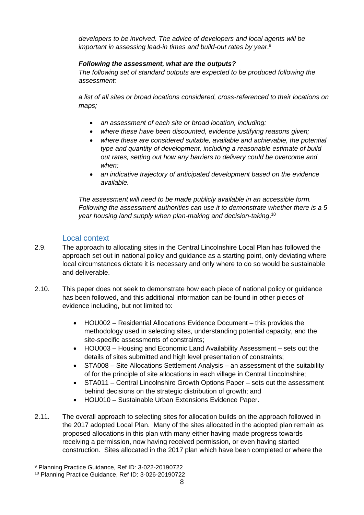*developers to be involved. The advice of developers and local agents will be*  important in assessing lead-in times and build-out rates by year.<sup>9</sup>

### *Following the assessment, what are the outputs?*

*The following set of standard outputs are expected to be produced following the assessment:*

*a list of all sites or broad locations considered, cross-referenced to their locations on maps;*

- *an assessment of each site or broad location, including:*
- *where these have been discounted, evidence justifying reasons given;*
- *where these are considered suitable, available and achievable, the potential type and quantity of development, including a reasonable estimate of build out rates, setting out how any barriers to delivery could be overcome and when;*
- *an indicative trajectory of anticipated development based on the evidence available.*

*The assessment will need to be made publicly available in an accessible form. Following the assessment authorities can use it to demonstrate whether there is a 5 year housing land supply when plan-making and decision-taking*. 10

# Local context

- <span id="page-7-0"></span>2.9. The approach to allocating sites in the Central Lincolnshire Local Plan has followed the approach set out in national policy and guidance as a starting point, only deviating where local circumstances dictate it is necessary and only where to do so would be sustainable and deliverable.
- 2.10. This paper does not seek to demonstrate how each piece of national policy or guidance has been followed, and this additional information can be found in other pieces of evidence including, but not limited to:
	- HOU002 Residential Allocations Evidence Document this provides the methodology used in selecting sites, understanding potential capacity, and the site-specific assessments of constraints;
	- HOU003 Housing and Economic Land Availability Assessment sets out the details of sites submitted and high level presentation of constraints;
	- STA008 Site Allocations Settlement Analysis an assessment of the suitability of for the principle of site allocations in each village in Central Lincolnshire;
	- STA011 Central Lincolnshire Growth Options Paper sets out the assessment behind decisions on the strategic distribution of growth; and
	- HOU010 Sustainable Urban Extensions Evidence Paper.
- 2.11. The overall approach to selecting sites for allocation builds on the approach followed in the 2017 adopted Local Plan. Many of the sites allocated in the adopted plan remain as proposed allocations in this plan with many either having made progress towards receiving a permission, now having received permission, or even having started construction. Sites allocated in the 2017 plan which have been completed or where the

<sup>9</sup> Planning Practice Guidance, Ref ID: 3-022-20190722

<sup>10</sup> Planning Practice Guidance, Ref ID: 3-026-20190722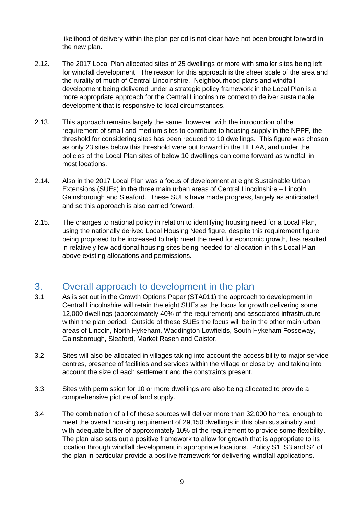likelihood of delivery within the plan period is not clear have not been brought forward in the new plan.

- 2.12. The 2017 Local Plan allocated sites of 25 dwellings or more with smaller sites being left for windfall development. The reason for this approach is the sheer scale of the area and the rurality of much of Central Lincolnshire. Neighbourhood plans and windfall development being delivered under a strategic policy framework in the Local Plan is a more appropriate approach for the Central Lincolnshire context to deliver sustainable development that is responsive to local circumstances.
- 2.13. This approach remains largely the same, however, with the introduction of the requirement of small and medium sites to contribute to housing supply in the NPPF, the threshold for considering sites has been reduced to 10 dwellings. This figure was chosen as only 23 sites below this threshold were put forward in the HELAA, and under the policies of the Local Plan sites of below 10 dwellings can come forward as windfall in most locations.
- 2.14. Also in the 2017 Local Plan was a focus of development at eight Sustainable Urban Extensions (SUEs) in the three main urban areas of Central Lincolnshire – Lincoln, Gainsborough and Sleaford. These SUEs have made progress, largely as anticipated, and so this approach is also carried forward.
- 2.15. The changes to national policy in relation to identifying housing need for a Local Plan, using the nationally derived Local Housing Need figure, despite this requirement figure being proposed to be increased to help meet the need for economic growth, has resulted in relatively few additional housing sites being needed for allocation in this Local Plan above existing allocations and permissions.

# <span id="page-8-0"></span>3. Overall approach to development in the plan

- 3.1. As is set out in the Growth Options Paper (STA011) the approach to development in Central Lincolnshire will retain the eight SUEs as the focus for growth delivering some 12,000 dwellings (approximately 40% of the requirement) and associated infrastructure within the plan period. Outside of these SUEs the focus will be in the other main urban areas of Lincoln, North Hykeham, Waddington Lowfields, South Hykeham Fosseway, Gainsborough, Sleaford, Market Rasen and Caistor.
- 3.2. Sites will also be allocated in villages taking into account the accessibility to major service centres, presence of facilities and services within the village or close by, and taking into account the size of each settlement and the constraints present.
- 3.3. Sites with permission for 10 or more dwellings are also being allocated to provide a comprehensive picture of land supply.
- 3.4. The combination of all of these sources will deliver more than 32,000 homes, enough to meet the overall housing requirement of 29,150 dwellings in this plan sustainably and with adequate buffer of approximately 10% of the requirement to provide some flexibility. The plan also sets out a positive framework to allow for growth that is appropriate to its location through windfall development in appropriate locations. Policy S1, S3 and S4 of the plan in particular provide a positive framework for delivering windfall applications.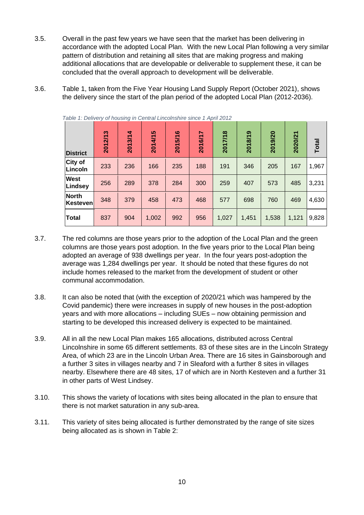- 3.5. Overall in the past few years we have seen that the market has been delivering in accordance with the adopted Local Plan. With the new Local Plan following a very similar pattern of distribution and retaining all sites that are making progress and making additional allocations that are developable or deliverable to supplement these, it can be concluded that the overall approach to development will be deliverable.
- 3.6. Table 1, taken from the Five Year Housing Land Supply Report (October 2021), shows the delivery since the start of the plan period of the adopted Local Plan (2012-2036).

| <b>District</b>                 | 2012/13 | 2013/14 | 2014/15 | 2015/16 | 2016/17 | 2017/18 | 2018/19 | 2019/20 | 2020/21 | <b>Total</b> |
|---------------------------------|---------|---------|---------|---------|---------|---------|---------|---------|---------|--------------|
| <b>City of</b><br>Lincoln       | 233     | 236     | 166     | 235     | 188     | 191     | 346     | 205     | 167     | 1,967        |
| <b>West</b><br>Lindsey          | 256     | 289     | 378     | 284     | 300     | 259     | 407     | 573     | 485     | 3,231        |
| <b>North</b><br><b>Kesteven</b> | 348     | 379     | 458     | 473     | 468     | 577     | 698     | 760     | 469     | 4,630        |
| <b>Total</b>                    | 837     | 904     | 1,002   | 992     | 956     | 1,027   | 1,451   | 1,538   | 1,121   | 9,828        |

*Table 1: Delivery of housing in Central Lincolnshire since 1 April 2012*

- 3.7. The red columns are those years prior to the adoption of the Local Plan and the green columns are those years post adoption. In the five years prior to the Local Plan being adopted an average of 938 dwellings per year. In the four years post-adoption the average was 1,284 dwellings per year. It should be noted that these figures do not include homes released to the market from the development of student or other communal accommodation.
- 3.8. It can also be noted that (with the exception of 2020/21 which was hampered by the Covid pandemic) there were increases in supply of new houses in the post-adoption years and with more allocations – including SUEs – now obtaining permission and starting to be developed this increased delivery is expected to be maintained.
- 3.9. All in all the new Local Plan makes 165 allocations, distributed across Central Lincolnshire in some 65 different settlements. 83 of these sites are in the Lincoln Strategy Area, of which 23 are in the Lincoln Urban Area. There are 16 sites in Gainsborough and a further 3 sites in villages nearby and 7 in Sleaford with a further 8 sites in villages nearby. Elsewhere there are 48 sites, 17 of which are in North Kesteven and a further 31 in other parts of West Lindsey.
- 3.10. This shows the variety of locations with sites being allocated in the plan to ensure that there is not market saturation in any sub-area.
- 3.11. This variety of sites being allocated is further demonstrated by the range of site sizes being allocated as is shown in Table 2: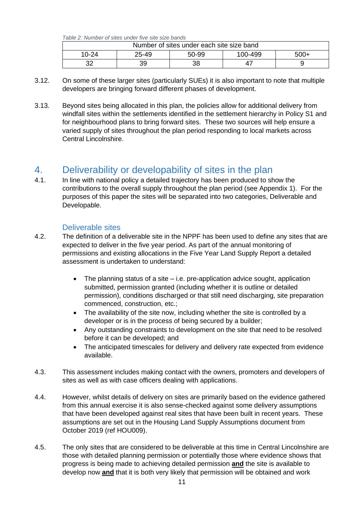*Table 2: Number of sites under five site size bands*

|           |                                     | Number of sites under each site size band |   |  |  |  |  |  |  |  |  |  |  |  |  |
|-----------|-------------------------------------|-------------------------------------------|---|--|--|--|--|--|--|--|--|--|--|--|--|
| $10 - 24$ | 100-499<br>25-49<br>50-99<br>$500+$ |                                           |   |  |  |  |  |  |  |  |  |  |  |  |  |
| າາ        | 39                                  | 38                                        | 4 |  |  |  |  |  |  |  |  |  |  |  |  |

- 3.12. On some of these larger sites (particularly SUEs) it is also important to note that multiple developers are bringing forward different phases of development.
- 3.13. Beyond sites being allocated in this plan, the policies allow for additional delivery from windfall sites within the settlements identified in the settlement hierarchy in Policy S1 and for neighbourhood plans to bring forward sites. These two sources will help ensure a varied supply of sites throughout the plan period responding to local markets across Central Lincolnshire.

# <span id="page-10-0"></span>4. Deliverability or developability of sites in the plan

4.1. In line with national policy a detailed trajectory has been produced to show the contributions to the overall supply throughout the plan period (see Appendix 1). For the purposes of this paper the sites will be separated into two categories, Deliverable and Developable.

## Deliverable sites

- <span id="page-10-1"></span>4.2. The definition of a deliverable site in the NPPF has been used to define any sites that are expected to deliver in the five year period. As part of the annual monitoring of permissions and existing allocations in the Five Year Land Supply Report a detailed assessment is undertaken to understand:
	- The planning status of a site i.e. pre-application advice sought, application submitted, permission granted (including whether it is outline or detailed permission), conditions discharged or that still need discharging, site preparation commenced, construction, etc.;
	- The availability of the site now, including whether the site is controlled by a developer or is in the process of being secured by a builder;
	- Any outstanding constraints to development on the site that need to be resolved before it can be developed; and
	- The anticipated timescales for delivery and delivery rate expected from evidence available.
- 4.3. This assessment includes making contact with the owners, promoters and developers of sites as well as with case officers dealing with applications.
- 4.4. However, whilst details of delivery on sites are primarily based on the evidence gathered from this annual exercise it is also sense-checked against some delivery assumptions that have been developed against real sites that have been built in recent years. These assumptions are set out in the Housing Land Supply Assumptions document from October 2019 (ref HOU009).
- 4.5. The only sites that are considered to be deliverable at this time in Central Lincolnshire are those with detailed planning permission or potentially those where evidence shows that progress is being made to achieving detailed permission **and** the site is available to develop now **and** that it is both very likely that permission will be obtained and work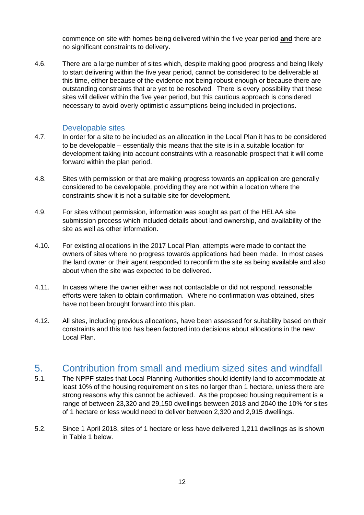commence on site with homes being delivered within the five year period **and** there are no significant constraints to delivery.

4.6. There are a large number of sites which, despite making good progress and being likely to start delivering within the five year period, cannot be considered to be deliverable at this time, either because of the evidence not being robust enough or because there are outstanding constraints that are yet to be resolved. There is every possibility that these sites will deliver within the five year period, but this cautious approach is considered necessary to avoid overly optimistic assumptions being included in projections.

## Developable sites

- <span id="page-11-0"></span>4.7. In order for a site to be included as an allocation in the Local Plan it has to be considered to be developable – essentially this means that the site is in a suitable location for development taking into account constraints with a reasonable prospect that it will come forward within the plan period.
- 4.8. Sites with permission or that are making progress towards an application are generally considered to be developable, providing they are not within a location where the constraints show it is not a suitable site for development.
- 4.9. For sites without permission, information was sought as part of the HELAA site submission process which included details about land ownership, and availability of the site as well as other information.
- 4.10. For existing allocations in the 2017 Local Plan, attempts were made to contact the owners of sites where no progress towards applications had been made. In most cases the land owner or their agent responded to reconfirm the site as being available and also about when the site was expected to be delivered.
- 4.11. In cases where the owner either was not contactable or did not respond, reasonable efforts were taken to obtain confirmation. Where no confirmation was obtained, sites have not been brought forward into this plan.
- 4.12. All sites, including previous allocations, have been assessed for suitability based on their constraints and this too has been factored into decisions about allocations in the new Local Plan.

# <span id="page-11-1"></span>5. Contribution from small and medium sized sites and windfall

- 5.1. The NPPF states that Local Planning Authorities should identify land to accommodate at least 10% of the housing requirement on sites no larger than 1 hectare, unless there are strong reasons why this cannot be achieved. As the proposed housing requirement is a range of between 23,320 and 29,150 dwellings between 2018 and 2040 the 10% for sites of 1 hectare or less would need to deliver between 2,320 and 2,915 dwellings.
- 5.2. Since 1 April 2018, sites of 1 hectare or less have delivered 1,211 dwellings as is shown in Table 1 below.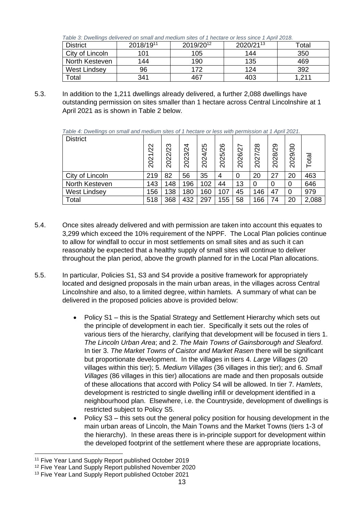*Table 3: Dwellings delivered on small and medium sites of 1 hectare or less since 1 April 2018.*

| <b>District</b> | 2018/1911 | 2019/20 <sup>12</sup> | 2020/2113 | Total |
|-----------------|-----------|-----------------------|-----------|-------|
| City of Lincoln | 101       | 105                   | 144       | 350   |
| North Kesteven  | 144       | 190                   | 135       | 469   |
| West Lindsey    | 96        | 172                   | 124       | 392   |
| Total           | 341       | 467                   | 403       | 1,211 |

5.3. In addition to the 1,211 dwellings already delivered, a further 2,088 dwellings have outstanding permission on sites smaller than 1 hectare across Central Lincolnshire at 1 April 2021 as is shown in Table 2 below.

| Table 4: Dwellings on small and medium sites of 1 hectare or less with permission at 1 April 2021. |  |  |  |  |  |
|----------------------------------------------------------------------------------------------------|--|--|--|--|--|
|                                                                                                    |  |  |  |  |  |

| <b>District</b>     |              |                         |                            |         |                  |         |                                    |         |                                |       |
|---------------------|--------------|-------------------------|----------------------------|---------|------------------|---------|------------------------------------|---------|--------------------------------|-------|
|                     | /22<br>2021, | $\overline{23}$<br>2022 | 4<br>Ń<br>ო<br>Š<br>$\sim$ | 2024/25 | 025/26<br>$\sim$ | 2026/27 | $\frac{8}{28}$<br>N<br>Ś<br>$\sim$ | 2028/29 | $\mathcal{S}$<br>029<br>$\sim$ | Total |
| City of Lincoln     | 219          | 82                      | 56                         | 35      | 4                | 0       | 20                                 | 27      | 20                             | 463   |
| North Kesteven      | 143          | 148                     | 196                        | 102     | 44               | 13      | 0                                  | 0       | 0                              | 646   |
| <b>West Lindsey</b> | 156          | 138                     | 180                        | 160     | 107              | 45      | 146                                | 47      | 0                              | 979   |
| Total               | 518          | 368                     | 432                        | 297     | 155              | 58      | 166                                | 74      | 20                             | 2,088 |

- 5.4. Once sites already delivered and with permission are taken into account this equates to 3,299 which exceed the 10% requirement of the NPPF. The Local Plan policies continue to allow for windfall to occur in most settlements on small sites and as such it can reasonably be expected that a healthy supply of small sites will continue to deliver throughout the plan period, above the growth planned for in the Local Plan allocations.
- 5.5. In particular, Policies S1, S3 and S4 provide a positive framework for appropriately located and designed proposals in the main urban areas, in the villages across Central Lincolnshire and also, to a limited degree, within hamlets. A summary of what can be delivered in the proposed policies above is provided below:
	- Policy S1 this is the Spatial Strategy and Settlement Hierarchy which sets out the principle of development in each tier. Specifically it sets out the roles of various tiers of the hierarchy, clarifying that development will be focused in tiers 1. *The Lincoln Urban Area*; and 2. *The Main Towns of Gainsborough and Sleaford*. In tier 3. *The Market Towns of Caistor and Market Rasen* there will be significant but proportionate development. In the villages in tiers 4. *Large Villages* (20 villages within this tier); 5. *Medium Villages* (36 villages in this tier); and 6. *Small Villages* (86 villages in this tier) allocations are made and then proposals outside of these allocations that accord with Policy S4 will be allowed. In tier 7. *Hamlets*, development is restricted to single dwelling infill or development identified in a neighbourhood plan. Elsewhere, i.e. the Countryside, development of dwellings is restricted subject to Policy S5.
	- Policy S3 this sets out the general policy position for housing development in the main urban areas of Lincoln, the Main Towns and the Market Towns (tiers 1-3 of the hierarchy). In these areas there is in-principle support for development within the developed footprint of the settlement where these are appropriate locations,

<sup>11</sup> Five Year Land Supply Report published October 2019

<sup>12</sup> Five Year Land Supply Report published November 2020

<sup>&</sup>lt;sup>13</sup> Five Year Land Supply Report published October 2021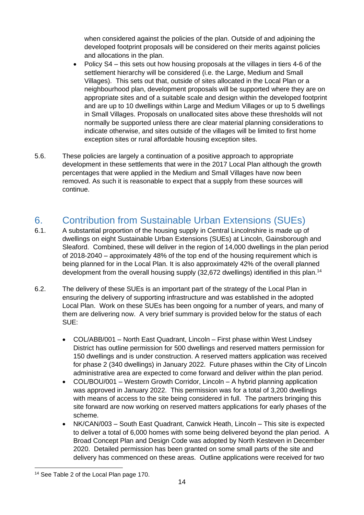when considered against the policies of the plan. Outside of and adjoining the developed footprint proposals will be considered on their merits against policies and allocations in the plan.

- Policy S4 this sets out how housing proposals at the villages in tiers 4-6 of the settlement hierarchy will be considered (i.e. the Large, Medium and Small Villages). This sets out that, outside of sites allocated in the Local Plan or a neighbourhood plan, development proposals will be supported where they are on appropriate sites and of a suitable scale and design within the developed footprint and are up to 10 dwellings within Large and Medium Villages or up to 5 dwellings in Small Villages. Proposals on unallocated sites above these thresholds will not normally be supported unless there are clear material planning considerations to indicate otherwise, and sites outside of the villages will be limited to first home exception sites or rural affordable housing exception sites.
- 5.6. These policies are largely a continuation of a positive approach to appropriate development in these settlements that were in the 2017 Local Plan although the growth percentages that were applied in the Medium and Small Villages have now been removed. As such it is reasonable to expect that a supply from these sources will continue.

# <span id="page-13-0"></span>6. Contribution from Sustainable Urban Extensions (SUEs)

- 6.1. A substantial proportion of the housing supply in Central Lincolnshire is made up of dwellings on eight Sustainable Urban Extensions (SUEs) at Lincoln, Gainsborough and Sleaford. Combined, these will deliver in the region of 14,000 dwellings in the plan period of 2018-2040 – approximately 48% of the top end of the housing requirement which is being planned for in the Local Plan. It is also approximately 42% of the overall planned development from the overall housing supply (32,672 dwellings) identified in this plan.<sup>14</sup>
- 6.2. The delivery of these SUEs is an important part of the strategy of the Local Plan in ensuring the delivery of supporting infrastructure and was established in the adopted Local Plan. Work on these SUEs has been ongoing for a number of years, and many of them are delivering now. A very brief summary is provided below for the status of each SUE:
	- COL/ABB/001 North East Quadrant, Lincoln First phase within West Lindsey District has outline permission for 500 dwellings and reserved matters permission for 150 dwellings and is under construction. A reserved matters application was received for phase 2 (340 dwellings) in January 2022. Future phases within the City of Lincoln administrative area are expected to come forward and deliver within the plan period.
	- COL/BOU/001 Western Growth Corridor, Lincoln A hybrid planning application was approved in January 2022. This permission was for a total of 3,200 dwellings with means of access to the site being considered in full. The partners bringing this site forward are now working on reserved matters applications for early phases of the scheme.
	- NK/CAN/003 South East Quadrant, Canwick Heath, Lincoln This site is expected to deliver a total of 6,000 homes with some being delivered beyond the plan period. A Broad Concept Plan and Design Code was adopted by North Kesteven in December 2020. Detailed permission has been granted on some small parts of the site and delivery has commenced on these areas. Outline applications were received for two

<sup>14</sup> See Table 2 of the Local Plan page 170.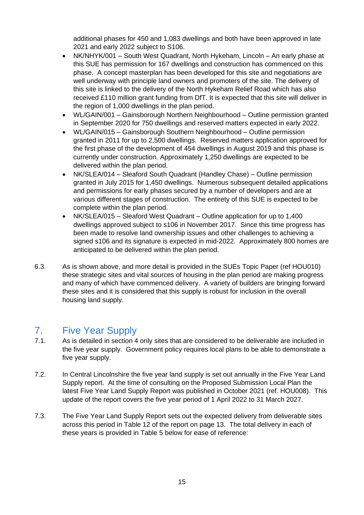additional phases for 450 and 1,083 dwellings and both have been approved in late 2021 and early 2022 subject to S106.

- NK/NHYK/001 South West Quadrant, North Hykeham, Lincoln An early phase at this SUE has permission for 167 dwellings and construction has commenced on this phase. A concept masterplan has been developed for this site and negotiations are well underway with principle land owners and promoters of the site. The delivery of this site is linked to the delivery of the North Hykeham Relief Road which has also received £110 million grant funding from DfT. It is expected that this site will deliver in the region of 1,000 dwellings in the plan period.
- WL/GAIN/001 Gainsborough Northern Neighbourhood Outline permission granted in September 2020 for 750 dwellings and reserved matters expected in early 2022.
- WL/GAIN/015 Gainsborough Southern Neighbourhood Outline permission granted in 2011 for up to 2,500 dwellings. Reserved matters application approved for the first phase of the development of 454 dwellings in August 2019 and this phase is currently under construction. Approximately 1,250 dwellings are expected to be delivered within the plan period.
- NK/SLEA/014 Sleaford South Quadrant (Handley Chase) Outline permission granted in July 2015 for 1,450 dwellings. Numerous subsequent detailed applications and permissions for early phases secured by a number of developers and are at various different stages of construction. The entirety of this SUE is expected to be complete within the plan period.
- NK/SLEA/015 Sleaford West Quadrant Outline application for up to 1,400 dwellings approved subject to s106 in November 2017. Since this time progress has been made to resolve land ownership issues and other challenges to achieving a signed s106 and its signature is expected in mid-2022. Approximately 800 homes are anticipated to be delivered within the plan period.
- 6.3. As is shown above, and more detail is provided in the SUEs Topic Paper (ref HOU010) these strategic sites and vital sources of housing in the plan period are making progress and many of which have commenced delivery. A variety of builders are bringing forward these sites and it is considered that this supply is robust for inclusion in the overall housing land supply.

# <span id="page-14-0"></span>7. Five Year Supply

- 7.1. As is detailed in section 4 only sites that are considered to be deliverable are included in the five year supply. Government policy requires local plans to be able to demonstrate a five year supply.
- 7.2. In Central Lincolnshire the five year land supply is set out annually in the Five Year Land Supply report. At the time of consulting on the Proposed Submission Local Plan the latest Five Year Land Supply Report was published in October 2021 (ref. HOU008). This update of the report covers the five year period of 1 April 2022 to 31 March 2027.
- 7.3. The Five Year Land Supply Report sets out the expected delivery from deliverable sites across this period in Table 12 of the report on page 13. The total delivery in each of these years is provided in Table 5 below for ease of reference: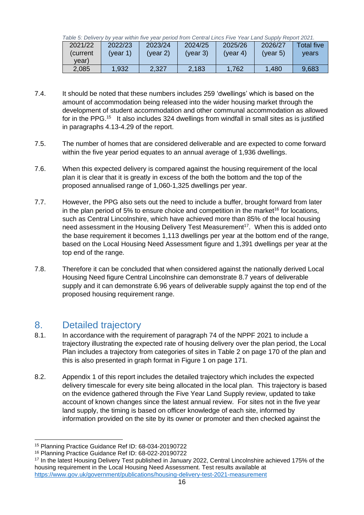*Table 5: Delivery by year within five year period from Central Lincs Five Year Land Supply Report 2021.*

| 2021/22  | 2022/23            | 2023/24        | 2024/25  | 2025/26  | 2026/27     | <b>Total five</b> |
|----------|--------------------|----------------|----------|----------|-------------|-------------------|
|          |                    |                |          |          |             |                   |
| (current | $\sqrt{2}$ vear 1. | $($ vear 2 $)$ | (vear 3) | (vear 4) | (vear $5$ ) | vears             |
| vear)    |                    |                |          |          |             |                   |
| 2,085    | 1,932              | 2,327          | 2,183    | 1,762    | 1,480       | 9,683             |

- 7.4. It should be noted that these numbers includes 259 'dwellings' which is based on the amount of accommodation being released into the wider housing market through the development of student accommodation and other communal accommodation as allowed for in the PPG.<sup>15</sup> It also includes 324 dwellings from windfall in small sites as is justified in paragraphs 4.13-4.29 of the report.
- 7.5. The number of homes that are considered deliverable and are expected to come forward within the five year period equates to an annual average of 1,936 dwellings.
- 7.6. When this expected delivery is compared against the housing requirement of the local plan it is clear that it is greatly in excess of the both the bottom and the top of the proposed annualised range of 1,060-1,325 dwellings per year.
- 7.7. However, the PPG also sets out the need to include a buffer, brought forward from later in the plan period of 5% to ensure choice and competition in the market<sup>16</sup> for locations, such as Central Lincolnshire, which have achieved more than 85% of the local housing need assessment in the Housing Delivery Test Measurement<sup>17</sup>. When this is added onto the base requirement it becomes 1,113 dwellings per year at the bottom end of the range, based on the Local Housing Need Assessment figure and 1,391 dwellings per year at the top end of the range.
- 7.8. Therefore it can be concluded that when considered against the nationally derived Local Housing Need figure Central Lincolnshire can demonstrate 8.7 years of deliverable supply and it can demonstrate 6.96 years of deliverable supply against the top end of the proposed housing requirement range.

# <span id="page-15-0"></span>8. Detailed trajectory

- 8.1. In accordance with the requirement of paragraph 74 of the NPPF 2021 to include a trajectory illustrating the expected rate of housing delivery over the plan period, the Local Plan includes a trajectory from categories of sites in Table 2 on page 170 of the plan and this is also presented in graph format in Figure 1 on page 171.
- 8.2. Appendix 1 of this report includes the detailed trajectory which includes the expected delivery timescale for every site being allocated in the local plan. This trajectory is based on the evidence gathered through the Five Year Land Supply review, updated to take account of known changes since the latest annual review. For sites not in the five year land supply, the timing is based on officer knowledge of each site, informed by information provided on the site by its owner or promoter and then checked against the

<sup>15</sup> Planning Practice Guidance Ref ID: 68-034-20190722

<sup>16</sup> Planning Practice Guidance Ref ID: 68-022-20190722

<sup>17</sup> In the latest Housing Delivery Test published in January 2022, Central Lincolnshire achieved 175% of the housing requirement in the Local Housing Need Assessment. Test results available at <https://www.gov.uk/government/publications/housing-delivery-test-2021-measurement>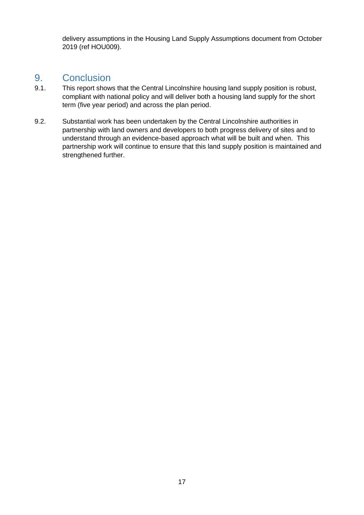delivery assumptions in the Housing Land Supply Assumptions document from October 2019 (ref HOU009).

# <span id="page-16-0"></span>9. Conclusion

- 9.1. This report shows that the Central Lincolnshire housing land supply position is robust, compliant with national policy and will deliver both a housing land supply for the short term (five year period) and across the plan period.
- 9.2. Substantial work has been undertaken by the Central Lincolnshire authorities in partnership with land owners and developers to both progress delivery of sites and to understand through an evidence-based approach what will be built and when. This partnership work will continue to ensure that this land supply position is maintained and strengthened further.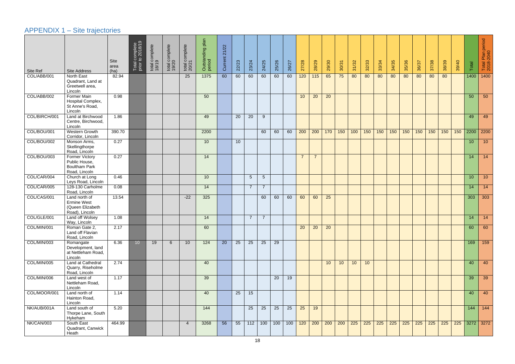# <span id="page-17-0"></span>APPENDIX 1 – Site trajectories

| Site Ref      | Site Address                                                                    | <b>Site</b><br>area<br>(ha) | Total complete<br>prior to 2018/19 | total complete<br>18/19 | total complete<br>19/20 | total complete<br>20/21 | plan<br>Outstanding<br>period | Current 21/22 | 22/23 | 23/24           | 24/25           | 25/26 | 26/27 | 27/28          | 28/29           | 29/30 | 30/31 | 31/32 | 32/33 | 33/34 | 34/35 | 35/36 | 36/37 | 37/38 | 38/39 | 39/40 | Total           | Total Plan period<br>2018-2040 |
|---------------|---------------------------------------------------------------------------------|-----------------------------|------------------------------------|-------------------------|-------------------------|-------------------------|-------------------------------|---------------|-------|-----------------|-----------------|-------|-------|----------------|-----------------|-------|-------|-------|-------|-------|-------|-------|-------|-------|-------|-------|-----------------|--------------------------------|
| COL/ABB/001   | North East<br>Quadrant, Land at<br>Greetwell area,<br>Lincoln                   | 82.94                       |                                    |                         |                         | 25                      | 1375                          | 60            | 60    | 60              | 60              | 60    | 60    | 120            | 115             | 65    | 75    | 80    | 80    | 80    | 80    | 80    | 80    | 80    | 80    |       | 1400            | 1400                           |
| COL/ABB/002   | Former Main<br>Hospital Complex,<br>St Anne's Road,<br>Lincoln                  | 0.98                        |                                    |                         |                         |                         | 50                            |               |       |                 |                 |       |       | 10             | 20              | 20    |       |       |       |       |       |       |       |       |       |       | 50              | 50                             |
| COL/BIRCH/001 | Land at Birchwood<br>Centre, Birchwood,<br>Lincoln                              | 1.86                        |                                    |                         |                         |                         | 49                            |               | 20    | 20              | 9               |       |       |                |                 |       |       |       |       |       |       |       |       |       |       |       | 49              | 49                             |
| COL/BOU/001   | Western Growth<br>Corridor, Lincoln                                             | 390.70                      |                                    |                         |                         |                         | 2200                          |               |       |                 | 60              | 60    | 60    | 200            | 200             | 170   | 150   | 100   | 150   | 150   | 150   | 150   | 150   | 150   | 150   | 150   | 2200            | 2200                           |
| COL/BOU/002   | Monson Arms,<br>Skellingthorpe<br>Road, Lincoln                                 | 0.27                        |                                    |                         |                         |                         | 10                            |               | 10    |                 |                 |       |       |                |                 |       |       |       |       |       |       |       |       |       |       |       | 10 <sup>°</sup> | 10 <sup>°</sup>                |
| COL/BOU/003   | <b>Former Victory</b><br>Public House,<br><b>Boultham Park</b><br>Road, Lincoln | 0.27                        |                                    |                         |                         |                         | 14                            |               |       |                 |                 |       |       | $\overline{7}$ | $\overline{7}$  |       |       |       |       |       |       |       |       |       |       |       | 14              | 14                             |
| COL/CAR/004   | Church at Long<br>Leys Road, Lincoln                                            | 0.46                        |                                    |                         |                         |                         | 10                            |               |       | $5\phantom{.0}$ | $5\overline{)}$ |       |       |                |                 |       |       |       |       |       |       |       |       |       |       |       | 10 <sup>°</sup> | 10                             |
| COL/CAR/005   | 128-130 Carholme<br>Road, Lincoln                                               | 0.08                        |                                    |                         |                         |                         | 14                            |               |       | $\overline{7}$  | $\overline{7}$  |       |       |                |                 |       |       |       |       |       |       |       |       |       |       |       | 14              | 14                             |
| COL/CAS/001   | Land north of<br>Ermine West<br>(Queen Elizabeth<br>Road), Lincoln              | 13.54                       |                                    |                         |                         | $-22$                   | 325                           |               |       |                 | 60              | 60    | 60    | 60             | 60              | 25    |       |       |       |       |       |       |       |       |       |       | 303             | 303                            |
| COL/GLE/001   | Land off Wolsey<br>Way, Lincoln                                                 | 1.08                        |                                    |                         |                         |                         | 14                            |               |       | $\overline{7}$  | $\overline{7}$  |       |       |                |                 |       |       |       |       |       |       |       |       |       |       |       | 14              | 14                             |
| COL/MIN/001   | Roman Gate 2,<br>Land off Flavian<br>Road, Lincoln                              | 2.17                        |                                    |                         |                         |                         | 60                            |               |       |                 |                 |       |       | 20             | $\overline{20}$ | 20    |       |       |       |       |       |       |       |       |       |       | 60              | 60                             |
| COL/MIN/003   | Romangate<br>Development, land<br>at Nettleham Road,<br>Lincoln                 | 6.36                        | 10 <sup>°</sup>                    | 19                      | $6 \overline{6}$        | 10                      | 124                           | 20            | 25    | 25              | 25              | 29    |       |                |                 |       |       |       |       |       |       |       |       |       |       |       | 169             | 159                            |
| COL/MIN/005   | Land at Cathedral<br>Quarry, Riseholme<br>Road, Lincoln                         | 2.74                        |                                    |                         |                         |                         | 40                            |               |       |                 |                 |       |       |                |                 | 10    | 10    | 10    | 10    |       |       |       |       |       |       |       | 40              | 40                             |
| COL/MIN/006   | Land west of<br>Nettleham Road,<br>Lincoln                                      | 1.17                        |                                    |                         |                         |                         | 39                            |               |       |                 |                 | 20    | 19    |                |                 |       |       |       |       |       |       |       |       |       |       |       | 39              | 39                             |
| COL/MOOR/001  | Land north of<br>Hainton Road,<br>Lincoln                                       | 1.14                        |                                    |                         |                         |                         | 40                            |               | 25    | 15              |                 |       |       |                |                 |       |       |       |       |       |       |       |       |       |       |       | 40              | 40                             |
| NK/AUB/001A   | Land south of<br>Thorpe Lane, South<br>Hykeham                                  | 5.20                        |                                    |                         |                         |                         | 144                           |               |       | 25              | 25              | 25    | 25    | 25             | 19              |       |       |       |       |       |       |       |       |       |       |       | 144             | 144                            |
| NK/CAN/003    | South East<br>Quadrant, Canwick<br>Heath                                        | 464.99                      |                                    |                         |                         | $\overline{4}$          | 3268                          | 56            | 55    | 112             | 100             | 100   | 100   | 120            | 200             | 200   | 200   | 225   | 225   | 225   | 225   | 225   | 225   | 225   | 225   | 225   |                 | $3272$ 3272                    |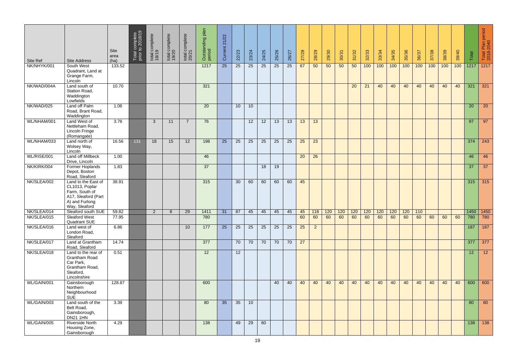| Site Ref    | <b>Site Address</b>                                                                                               | Site<br>area<br>(ha) | Total complete<br>prior to 2018/19 | total complete<br>18/19 | total complete<br>19/20 | total complete<br>20/21 | plan<br>Outstanding<br>period | 21/22<br>Current | 22/23 | 23/24 | 24/25           | 25/26 | 26/27 | 27/28 | 28/29          | 29/30 | 30/31 | 31/32 | 32/33 | 33/34     | 34/35 | 35/36   | 36/37 | 37/38 | 38/39 | 39/40 | Total           | Total Plan period<br>2018-2040 |
|-------------|-------------------------------------------------------------------------------------------------------------------|----------------------|------------------------------------|-------------------------|-------------------------|-------------------------|-------------------------------|------------------|-------|-------|-----------------|-------|-------|-------|----------------|-------|-------|-------|-------|-----------|-------|---------|-------|-------|-------|-------|-----------------|--------------------------------|
| NK/NHYK/001 | South West<br>Quadrant, Land at<br>Grange Farm,<br>Lincoln                                                        | 133.52               |                                    |                         |                         |                         | 1217                          | 25               | 25    | 25    | 25              | 25    | 25    | 67    | 50             | 50    | 50    | 50    | 100   | 100       | 100   | 100     | 100   | 100   | 100   | 100   | 1217            | 1217                           |
| NK/WAD/004A | Land south of<br>Station Road,<br>Waddington<br>Lowfields                                                         | 10.70                |                                    |                         |                         |                         | 321                           |                  |       |       |                 |       |       |       |                |       |       | 20    | 21    | 40        | 40    | 40      | 40    | 40    | 40    | 40    | 321             | 321                            |
| NK/WAD/025  | Land off Palm<br>Road, Brant Road,<br>Waddington                                                                  | 1.06                 |                                    |                         |                         |                         | 20                            |                  | 10    | 10    |                 |       |       |       |                |       |       |       |       |           |       |         |       |       |       |       | 20              | 20                             |
| WL/NHAM/001 | Land West of<br>Nettleham Road,<br>Lincoln Fringe<br>(Romangate)                                                  | 3.78                 |                                    | $\mathbf{3}$            | 11                      | $\overline{7}$          | 76                            |                  |       | 12    | $\overline{12}$ | 13    | 13    | 13    | 13             |       |       |       |       |           |       |         |       |       |       |       | $\overline{97}$ | 97                             |
| WL/NHAM/033 | Land north of<br>Wolsey Way,<br>Lincoln                                                                           | 16.56                | 131                                | 18                      | 15                      | 12                      | 198                           | 25               | 25    | 25    | 25              | 25    | 25    | 25    | 23             |       |       |       |       |           |       |         |       |       |       |       | 374             | 243                            |
| WL/RISE/001 | <b>Land off Millbeck</b><br>Drive, Lincoln                                                                        | 1.00                 |                                    |                         |                         |                         | 46                            |                  |       |       |                 |       |       | 20    | 26             |       |       |       |       |           |       |         |       |       |       |       | 46              | 46                             |
| NK/KIRK/004 | Former Hoplands<br>Depot, Boston<br>Road, Sleaford                                                                | 1.83                 |                                    |                         |                         |                         | 37                            |                  |       |       | 18              | 19    |       |       |                |       |       |       |       |           |       |         |       |       |       |       | 37              | 37 <sup>7</sup>                |
| NK/SLEA/002 | Land to the East of<br>CL1013, Poplar<br>Farm, South of<br>A17, Sleaford (Part<br>A) and Furlong<br>Way, Sleaford | 38.91                |                                    |                         |                         |                         | 315                           |                  | 30    | 60    | 60              | 60    | 60    | 45    |                |       |       |       |       |           |       |         |       |       |       |       | $\frac{1}{315}$ | 315                            |
| NK/SLEA/014 | Sleaford south SUE                                                                                                | 59.82                |                                    | $\overline{2}$          | 8                       | 29                      | 1411                          | 31               | 87    | 45    | 45              | 45    | 45    | 45    | 118            | 120   | 120   | 120   |       | $120$ 120 | 120   | 120     | 110   |       |       |       |                 | $1450$ 1450                    |
| NK/SLEA/015 | <b>Sleaford West</b><br><b>Quadrant SUE</b>                                                                       | 77.95                |                                    |                         |                         |                         | 780                           |                  |       |       |                 |       |       | 60    | 60             | 60    | 60    | 60    |       | 60 60     |       | $60$ 60 | 60    | 60    | 60    | 60    |                 | 780 780                        |
| NK/SLEA/016 | Land west of<br>London Road,<br>Sleaford                                                                          | 6.86                 |                                    |                         |                         | 10 <sup>1</sup>         | 177                           | 25               | 25    | 25    | 25              | 25    | 25    | 25    | $\overline{2}$ |       |       |       |       |           |       |         |       |       |       |       | 187             | 187                            |
| NK/SLEA/017 | Land at Grantham<br>Road, Sleaford                                                                                | 14.74                |                                    |                         |                         |                         | 377                           |                  | 70    | 70    | 70              | 70    | 70    | 27    |                |       |       |       |       |           |       |         |       |       |       |       | 377             | 377                            |
| NK/SLEA/018 | Land to the rear of<br><b>Grantham Road</b><br>Car Park,<br>Grantham Road,<br>Sleaford,<br>Lincolnshire           | 0.51                 |                                    |                         |                         |                         | 12                            |                  | 12    |       |                 |       |       |       |                |       |       |       |       |           |       |         |       |       |       |       | 12 <sub>2</sub> | 12                             |
| WL/GAIN/001 | Gainsborough<br>Northern<br>Neighbourhood<br><b>SUE</b>                                                           | 128.87               |                                    |                         |                         |                         | 600                           |                  |       |       |                 | 40    | 40    | 40    | 40             | 40    | 40    | 40    | 40    | 40        | 40    | 40      | 40    | 40    | 40    | 40    | 600             | 600                            |
| WL/GAIN/003 | Land south of the<br>Belt Road,<br>Gainsborough,<br><b>DN21 1HN</b>                                               | 3.39                 |                                    |                         |                         |                         | 80                            | 35               | 35    | 10    |                 |       |       |       |                |       |       |       |       |           |       |         |       |       |       |       | 80              | 80                             |
| WL/GAIN/005 | <b>Riverside North</b><br>Housing Zone,<br>Gainsborough                                                           | 4.29                 |                                    |                         |                         |                         | 138                           |                  | 49    | 29    | 60              |       |       |       |                |       |       |       |       |           |       |         |       |       |       |       | 138             | 138                            |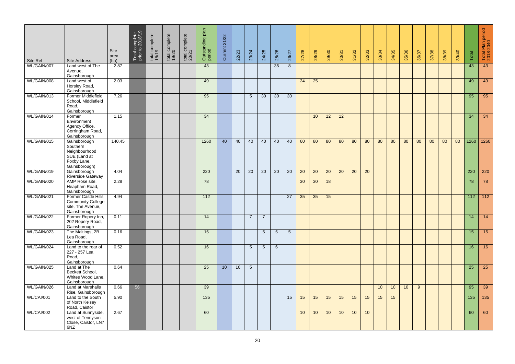| Site Ref          | Site Address                                                                              | Site<br>area<br>(ha) | Total complete<br>prior to 2018/19 | total complete<br>18/19 | total complete<br>19/20 | total complete<br>20/21 | plan<br>Outstanding<br>period | 21/22<br>Current | 22/23 | 23/24           | 24/25           | 25/26          | 26/27           | 27/28 | 28/29           | 29/30 | 30/31           | 31/32           | 32/33           | 33/34 | 34/35 | 35/36           | 36/37          | 37/38 | 38/39 | 39/40 | Total            | Total Plan period<br>2018-2040 |
|-------------------|-------------------------------------------------------------------------------------------|----------------------|------------------------------------|-------------------------|-------------------------|-------------------------|-------------------------------|------------------|-------|-----------------|-----------------|----------------|-----------------|-------|-----------------|-------|-----------------|-----------------|-----------------|-------|-------|-----------------|----------------|-------|-------|-------|------------------|--------------------------------|
| WL/GAIN/007       | Land west of The<br>Avenue,<br>Gainsborough                                               | 2.87                 |                                    |                         |                         |                         | 43                            |                  |       |                 |                 | 35             | 8               |       |                 |       |                 |                 |                 |       |       |                 |                |       |       |       | 43               | 43                             |
| WL/GAIN/008       | Land west of<br>Horsley Road,<br>Gainsborough                                             | 2.03                 |                                    |                         |                         |                         | 49                            |                  |       |                 |                 |                |                 | 24    | 25              |       |                 |                 |                 |       |       |                 |                |       |       |       | 49               | 49                             |
| WL/GAIN/013       | Former Middlefield<br>School, Middlefield<br>Road,<br>Gainsborough                        | 7.26                 |                                    |                         |                         |                         | 95                            |                  |       | $5\overline{)}$ | 30              | 30             | 30              |       |                 |       |                 |                 |                 |       |       |                 |                |       |       |       | 95               | 95                             |
| WL/GAIN/014       | Former<br>Environment<br>Agency Office,<br>Corringham Road,<br>Gainsborough               | 1.15                 |                                    |                         |                         |                         | 34                            |                  |       |                 |                 |                |                 |       | 10              | 12    | 12              |                 |                 |       |       |                 |                |       |       |       | $\overline{34}$  | 34                             |
| WL/GAIN/015       | Gainsborough<br>Southern<br>Neighbourhood<br>SUE (Land at<br>Foxby Lane,<br>Gainsborough) | 140.45               |                                    |                         |                         |                         | 1260                          | 40               | 40    | 40              | 40              | 40             | 40              | 60    | 80              | 80    | 80              | 80              | 80              | 80    | 80    | 80              | 80             | 80    | 80    | 80    | 1260             | 1260                           |
| WL/GAIN/019       | Gainsborough<br>Riverside Gateway                                                         | 4.04                 |                                    |                         |                         |                         | 220                           |                  | 20    | $\overline{20}$ | $\overline{20}$ | 20             | 20              | 20    | $\overline{20}$ | 20    | $\overline{20}$ | $\overline{20}$ | $\overline{20}$ |       |       |                 |                |       |       |       | 220              | 220                            |
| WL/GAIN/020       | AMP Rose site,<br>Heapham Road,<br>Gainsborough                                           | 2.28                 |                                    |                         |                         |                         | 78                            |                  |       |                 |                 |                |                 | 30    | 30              | 18    |                 |                 |                 |       |       |                 |                |       |       |       | 78               | 78                             |
| WL/GAIN/021       | Former Castle Hills<br><b>Community College</b><br>site, The Avenue,<br>Gainsborough      | 4.94                 |                                    |                         |                         |                         | 112                           |                  |       |                 |                 |                | 27              | 35    | 35              | 15    |                 |                 |                 |       |       |                 |                |       |       |       | $\overline{112}$ | 112                            |
| WL/GAIN/022       | Former Ropery Inn,<br>202 Ropery Road,<br>Gainsborough                                    | 0.11                 |                                    |                         |                         |                         | 14                            |                  |       | $\overline{7}$  | $\overline{7}$  |                |                 |       |                 |       |                 |                 |                 |       |       |                 |                |       |       |       | 14               | 14                             |
| WL/GAIN/023       | The Maltings, 2B<br>Lea Road,<br>Gainsborough                                             | 0.16                 |                                    |                         |                         |                         | 15                            |                  |       |                 | $5\overline{)}$ | 5 <sup>5</sup> | $5\overline{)}$ |       |                 |       |                 |                 |                 |       |       |                 |                |       |       |       | 15               | 15                             |
| WL/GAIN/024       | Land to the rear of<br>227 - 257 Lea<br>Road,<br>Gainsborough                             | 0.52                 |                                    |                         |                         |                         | 16                            |                  |       | 5 <sup>5</sup>  | $5\overline{)}$ | 6              |                 |       |                 |       |                 |                 |                 |       |       |                 |                |       |       |       | 16               | 16                             |
| WL/GAIN/025       | Land at The<br>Beckett School,<br>Whites Wood Lane,<br>Gainsborough                       | 0.64                 |                                    |                         |                         |                         | 25                            | 10               | 10    | $5\overline{)}$ |                 |                |                 |       |                 |       |                 |                 |                 |       |       |                 |                |       |       |       | 25               | 25                             |
| WL/GAIN/026       | <b>Land at Marshalls</b><br>Rise, Gainsborough                                            | 0.66                 | 56                                 |                         |                         |                         | 39                            |                  |       |                 |                 |                |                 |       |                 |       |                 |                 |                 | 10    | 10    | 10 <sup>°</sup> | 9 <sup>°</sup> |       |       |       | 95               | 39                             |
| WL/CAI/001        | Land to the South<br>of North Kelsey<br>Road, Caistor                                     | 5.90                 |                                    |                         |                         |                         | 135                           |                  |       |                 |                 |                | 15              | 15    | 15              | 15    | 15              | 15              | 15              | 15    | 15    |                 |                |       |       |       | $\overline{135}$ | 135                            |
| <b>WL/CAI/002</b> | Land at Sunnyside,<br>west of Tennyson<br>Close, Caistor, LN7<br>6NZ                      | 2.67                 |                                    |                         |                         |                         | 60                            |                  |       |                 |                 |                |                 | 10    | 10              | 10    | 10              | 10              | 10              |       |       |                 |                |       |       |       | 60               | 60                             |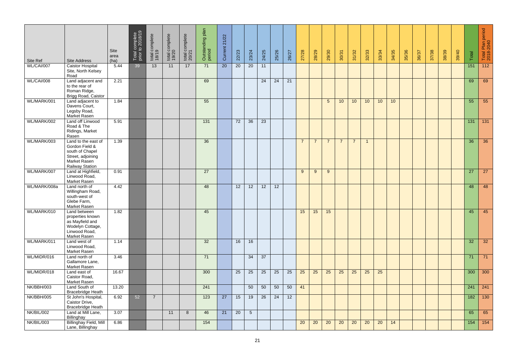| Site Ref     | <b>Site Address</b>                                                                                                     | Site<br>area<br>(ha) | Total complete<br>prior to 2018/19 | total complete<br>18/19 | total complete<br>19/20 | total complete<br>20/21 | Outstanding plan<br>period | 21/22<br><b>Current</b> | 22/23 | 23/24           | 24/25 | 25/26 | 26/27 | 27/28          | 28/29          | 29/30           | 30/31          | 31/32          | 32/33          | 33/34           | 34/35 | 35/36 | 36/37 | 37/38 | 38/39 | 39/40 | Total            | Total Plan period<br>2018-2040 |
|--------------|-------------------------------------------------------------------------------------------------------------------------|----------------------|------------------------------------|-------------------------|-------------------------|-------------------------|----------------------------|-------------------------|-------|-----------------|-------|-------|-------|----------------|----------------|-----------------|----------------|----------------|----------------|-----------------|-------|-------|-------|-------|-------|-------|------------------|--------------------------------|
| WL/CAI/007   | <b>Caistor Hospital</b><br>Site, North Kelsey<br>Road                                                                   | 5.44                 | 39                                 | 13                      | 11                      | 17                      | 71                         | 20                      | 20    | 20              | 11    |       |       |                |                |                 |                |                |                |                 |       |       |       |       |       |       | 151              | $\boxed{112}$                  |
| WL/CAI/008   | Land adjacent and<br>to the rear of<br>Roman Ridge,<br>Brigg Road, Caistor                                              | 2.21                 |                                    |                         |                         |                         | 69                         |                         |       |                 | 24    | 24    | 21    |                |                |                 |                |                |                |                 |       |       |       |       |       |       | 69               | 69                             |
| WL/MARK/001  | Land adjacent to<br>Davens Court,<br>Legsby Road,<br>Market Rasen                                                       | 1.84                 |                                    |                         |                         |                         | 55                         |                         |       |                 |       |       |       |                |                | $5\overline{)}$ | 10             | 10             | 10             | 10 <sup>°</sup> | 10    |       |       |       |       |       | 55               | 55                             |
| WL/MARK/002  | Land off Linwood<br>Road & The<br>Ridings, Market<br>Rasen                                                              | 5.91                 |                                    |                         |                         |                         | 131                        |                         | 72    | 36              | 23    |       |       |                |                |                 |                |                |                |                 |       |       |       |       |       |       | $\overline{131}$ | $\boxed{131}$                  |
| WL/MARK/003  | Land to the east of<br>Gordon Field &<br>south of Chapel<br>Street, adjoining<br>Market Rasen<br><b>Railway Station</b> | 1.39                 |                                    |                         |                         |                         | 36                         |                         |       |                 |       |       |       | $\overline{7}$ | $\overline{7}$ | $\overline{7}$  | $\overline{7}$ | $\overline{7}$ | $\overline{1}$ |                 |       |       |       |       |       |       | 36               | 36                             |
| WL/MARK/007  | Land at Highfield,<br>Linwood Road,<br>Market Rasen                                                                     | 0.91                 |                                    |                         |                         |                         | 27                         |                         |       |                 |       |       |       | 9              | 9              | 9               |                |                |                |                 |       |       |       |       |       |       | $\overline{27}$  | 27                             |
| WL/MARK/008a | Land north of<br>Willingham Road,<br>south-west of<br>Glebe Farm,<br>Market Rasen                                       | 4.42                 |                                    |                         |                         |                         | 48                         |                         | 12    | 12              | 12    | 12    |       |                |                |                 |                |                |                |                 |       |       |       |       |       |       | 48               | 48                             |
| WL/MARK/010  | Land between<br>properties known<br>as Mayfield and<br>Wodelyn Cottage,<br>Linwood Road,<br>Market Rasen                | 1.82                 |                                    |                         |                         |                         | 45                         |                         |       |                 |       |       |       | 15             | 15             | 15              |                |                |                |                 |       |       |       |       |       |       | 45               | 45                             |
| WL/MARK/011  | Land west of<br>Linwood Road,<br>Market Rasen                                                                           | 1.14                 |                                    |                         |                         |                         | 32                         |                         | 16    | 16              |       |       |       |                |                |                 |                |                |                |                 |       |       |       |       |       |       | 32               | 32                             |
| WL/MIDR/016  | Land north of<br>Gallamore Lane,<br>Market Rasen                                                                        | 3.46                 |                                    |                         |                         |                         | 71                         |                         |       | 34              | 37    |       |       |                |                |                 |                |                |                |                 |       |       |       |       |       |       | $\overline{71}$  | 71                             |
| WL/MIDR/018  | Land east of<br>Caistor Road,<br>Market Rasen                                                                           | 16.67                |                                    |                         |                         |                         | 300                        |                         | 25    | 25              | 25    | 25    | 25    | 25             | 25             | 25              | 25             | 25             | 25             | 25              |       |       |       |       |       |       | 300              | 300                            |
| NK/BBH/003   | Land South of<br><b>Bracebridge Heath</b>                                                                               | 13.20                |                                    |                         |                         |                         | 241                        |                         |       | 50              | 50    | 50    | 50    | 41             |                |                 |                |                |                |                 |       |       |       |       |       |       | 241              | 241                            |
| NK/BBH/005   | St John's Hospital,<br>Caistor Drive,<br><b>Bracebridge Heath</b>                                                       | 6.92                 | 52                                 | $\overline{7}$          |                         |                         | 123                        | 27                      | 15    | 19              | 26    | 24    | 12    |                |                |                 |                |                |                |                 |       |       |       |       |       |       | 182              | 130                            |
| NK/BIL/002   | Land at Mill Lane,<br>Billinghay                                                                                        | 3.07                 |                                    |                         | 11                      | 8                       | 46                         | 21                      | 20    | $5\overline{)}$ |       |       |       |                |                |                 |                |                |                |                 |       |       |       |       |       |       | 65               | 65                             |
| NK/BIL/003   | <b>Billinghay Field, Mill</b><br>Lane, Billinghay                                                                       | 6.86                 |                                    |                         |                         |                         | 154                        |                         |       |                 |       |       |       | 20             | 20             | 20              | 20             | 20             | 20             | 20              | 14    |       |       |       |       |       | 154              | 154                            |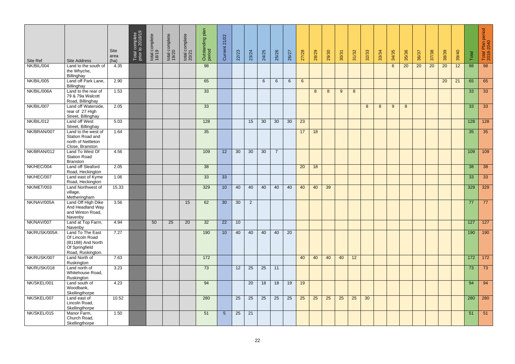| Site Ref     | <b>Site Address</b>                                                                             | <b>Site</b><br>area<br>(ha) | Total complete<br>prior to 2018/19 | total complete<br>18/19 | total complete<br>19/20 | total complete<br>20/21 | plan<br>Outstanding<br>period | 21/22<br><b>Current</b> | 22/23 | 23/24       | 24/25          | 25/26           | 26/27          | 27/28          | 28/29 | 29/30 | 30/31 | 31/32 | 32/33 | 33/34 | 34/35 | 35/36 | 36/37 | 37/38 | 38/39 | 39/40 | Total            | Total Plan period<br>2018-2040 |
|--------------|-------------------------------------------------------------------------------------------------|-----------------------------|------------------------------------|-------------------------|-------------------------|-------------------------|-------------------------------|-------------------------|-------|-------------|----------------|-----------------|----------------|----------------|-------|-------|-------|-------|-------|-------|-------|-------|-------|-------|-------|-------|------------------|--------------------------------|
| NK/BIL/004   | Land to the south of<br>the Whyche,                                                             | 4.35                        |                                    |                         |                         |                         | 98                            |                         |       |             |                |                 |                |                |       |       |       |       |       |       | 6     | 20    | 20    | 20    | 20    | 12    | 98               | 98                             |
|              | Billinghay                                                                                      |                             |                                    |                         |                         |                         |                               |                         |       |             |                |                 |                |                |       |       |       |       |       |       |       |       |       |       |       |       |                  |                                |
| NK/BIL/005   | Land off Park Lane,<br>Billinghay                                                               | 2.90                        |                                    |                         |                         |                         | 65                            |                         |       |             | $6\phantom{1}$ | $6\phantom{1}6$ | $6\phantom{1}$ | $6\phantom{1}$ |       |       |       |       |       |       |       |       |       |       | 20    | 21    | 65               | 65                             |
| NK/BIL/006A  | Land to the rear of<br>79 & 79a Walcott<br>Road, Billinghay                                     | 1.53                        |                                    |                         |                         |                         | 33                            |                         |       |             |                |                 |                |                | 8     | 8     | 9     | 8     |       |       |       |       |       |       |       |       | 33               | 33                             |
| NK/BIL/007   | Land off Waterside,<br>rear of 27 High<br>Street, Billinghay                                    | 2.05                        |                                    |                         |                         |                         | 33                            |                         |       |             |                |                 |                |                |       |       |       |       | 8     | 8     | 9     | 8     |       |       |       |       | 33               | 33                             |
| NK/BIL/012   | Land off West<br>Street, Billinghay                                                             | 5.03                        |                                    |                         |                         |                         | 128                           |                         |       | 15          | 30             | 30              | 30             | 23             |       |       |       |       |       |       |       |       |       |       |       |       | $\overline{128}$ | $\overline{128}$               |
| NK/BRAN/007  | Land to the west of<br>Station Road and<br>north of Nettleton<br>Close, Branston                | 1.64                        |                                    |                         |                         |                         | 35                            |                         |       |             |                |                 |                | 17             | 18    |       |       |       |       |       |       |       |       |       |       |       | 35               | 35                             |
| NK/BRAN/012  | Land To West Of<br><b>Station Road</b><br><b>Branston</b>                                       | 4.56                        |                                    |                         |                         |                         | 109                           | 12                      | 30    | 30          | 30             | $\overline{7}$  |                |                |       |       |       |       |       |       |       |       |       |       |       |       | 109              | 109                            |
| NK/HEC/004   | Land off Sleaford<br>Road, Heckington                                                           | 2.05                        |                                    |                         |                         |                         | 38                            |                         |       |             |                |                 |                | 20             | 18    |       |       |       |       |       |       |       |       |       |       |       | 38               | 38                             |
| NK/HEC/007   | Land east of Kyme<br>Road, Heckington                                                           | 1.06                        |                                    |                         |                         |                         | 33                            | 33                      |       |             |                |                 |                |                |       |       |       |       |       |       |       |       |       |       |       |       | 33               | 33                             |
| NK/MET/003   | Land Northwest of<br>village,<br>Metheringham                                                   | 15.33                       |                                    |                         |                         |                         | 329                           | 10 <sup>°</sup>         | 40    | 40          | 40             | 40              | 40             | 40             | 40    | 39    |       |       |       |       |       |       |       |       |       |       | 329              | 329                            |
| NK/NAV/005A  | Land Off High Dike<br>And Headland Way<br>and Winton Road,<br>Navenby                           | 3.56                        |                                    |                         |                         | 15                      | 62                            | 30                      | 30    | $2^{\circ}$ |                |                 |                |                |       |       |       |       |       |       |       |       |       |       |       |       | 77               | 77                             |
| NK/NAV/007   | Land at Top Farm,<br>Navenby                                                                    | 4.94                        |                                    | 50                      | 25                      | 20                      | 32                            | $\overline{22}$         | 10    |             |                |                 |                |                |       |       |       |       |       |       |       |       |       |       |       |       | $\overline{127}$ | $\overline{127}$               |
| NK/RUSK/005A | Land To The East<br>Of Lincoln Road<br>(B1188) And North<br>Of Springfield<br>Road, Ruskington. | 7.27                        |                                    |                         |                         |                         | 190                           | 10 <sup>°</sup>         | 40    | 40          | 40             | 40              | 20             |                |       |       |       |       |       |       |       |       |       |       |       |       | 190              | 190                            |
| NK/RUSK/007  | Land North of<br>Ruskington                                                                     | 7.63                        |                                    |                         |                         |                         | 172                           |                         |       |             |                |                 |                | 40             | 40    | 40    | 40    | 12    |       |       |       |       |       |       |       |       | 172              | 172                            |
| NK/RUSK/018  | Land north of<br>Whitehouse Road,<br>Ruskington                                                 | 3.23                        |                                    |                         |                         |                         | 73                            |                         | 12    | 25          | 25             | 11              |                |                |       |       |       |       |       |       |       |       |       |       |       |       | 73               | 73                             |
| NK/SKEL/001  | Land south of<br>Woodbank,<br>Skellingthorpe                                                    | 4.23                        |                                    |                         |                         |                         | 94                            |                         |       | 20          | 18             | 18              | 19             | 19             |       |       |       |       |       |       |       |       |       |       |       |       | 94               | 94                             |
| NK/SKEL/007  | Land east of<br>Lincoln Road,<br>Skellingthorpe                                                 | 10.52                       |                                    |                         |                         |                         | 280                           |                         | 25    | 25          | 25             | 25              | 25             | 25             | 25    | 25    | 25    | 25    | 30    |       |       |       |       |       |       |       | 280              | 280                            |
| NK/SKEL/015  | Manor Farm,<br>Church Road,<br>Skellingthorpe                                                   | 1.50                        |                                    |                         |                         |                         | 51                            | 5 <sup>5</sup>          | 25    | 21          |                |                 |                |                |       |       |       |       |       |       |       |       |       |       |       |       | 51               | 51                             |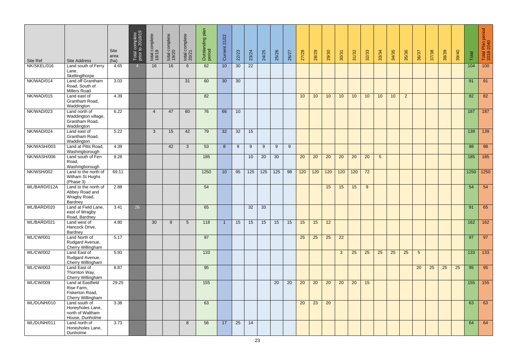| Site Ref         | <b>Site Address</b>                                                      | <b>Site</b><br>area<br>(ha) | Total complete<br>prior to 2018/19 | total complete<br>18/19 | total complete<br>19/20 | total complete<br>20/21 | plan<br>Outstanding<br>period | 21/22<br><b>Current</b> | 22/23 | 23/24 | 24/25            | 25/26            | 26/27 | 27/28 | 28/29           | 29/30           | 30/31        | 31/32 | 32/33           | 33/34           | 34/35 | 35/36          | 36/37          | 37/38 | 38/39 | 39/40 | Total | Total Plan period<br>2018-2040 |
|------------------|--------------------------------------------------------------------------|-----------------------------|------------------------------------|-------------------------|-------------------------|-------------------------|-------------------------------|-------------------------|-------|-------|------------------|------------------|-------|-------|-----------------|-----------------|--------------|-------|-----------------|-----------------|-------|----------------|----------------|-------|-------|-------|-------|--------------------------------|
| NK/SKEL/016      | Land south of Ferry                                                      | 4.65                        | $\overline{4}$                     | 16                      | 16                      | 6                       | 62                            | 10 <sup>°</sup>         | 30    | 22    |                  |                  |       |       |                 |                 |              |       |                 |                 |       |                |                |       |       |       | 104   | 100                            |
|                  | Lane,<br>Skellingthorpe                                                  |                             |                                    |                         |                         |                         |                               |                         |       |       |                  |                  |       |       |                 |                 |              |       |                 |                 |       |                |                |       |       |       |       |                                |
| NK/WAD/014       | Land off Grantham<br>Road, South of<br><b>Millers Road</b>               | 3.03                        |                                    |                         |                         | 31                      | 60                            | 30                      | 30    |       |                  |                  |       |       |                 |                 |              |       |                 |                 |       |                |                |       |       |       | 91    | 91                             |
| NK/WAD/015       | Land east of<br>Grantham Road,<br>Waddington                             | 4.39                        |                                    |                         |                         |                         | 82                            |                         |       |       |                  |                  |       | 10    | 10              | 10              | 10           | 10    | 10              | 10              | 10    | $\overline{2}$ |                |       |       |       | 82    | 82                             |
| NK/WAD/023       | Land north of<br>Waddington village,<br>Grantham Road,<br>Waddington     | 6.22                        |                                    | $\overline{4}$          | 47                      | 60                      | 76                            | 66                      | 10    |       |                  |                  |       |       |                 |                 |              |       |                 |                 |       |                |                |       |       |       | 187   | 187                            |
| NK/WAD/024       | Land east of<br>Grantham Road,<br>Waddington                             | 5.22                        |                                    | $\mathbf{3}$            | 15                      | 42                      | 79                            | 32                      | 32    | 15    |                  |                  |       |       |                 |                 |              |       |                 |                 |       |                |                |       |       |       | 139   | 139                            |
| NK/WASH/003      | Land at Pitts Road,<br>Washingborough                                    | 4.39                        |                                    |                         | 42                      | $\mathbf{3}$            | 53                            | 8 <sup>°</sup>          | 9     | 9     | 9                | 9                | 9     |       |                 |                 |              |       |                 |                 |       |                |                |       |       |       | 98    | 98                             |
| NK/WASH/006      | Land south of Fen<br>Road,<br>Washingborough                             | 8.28                        |                                    |                         |                         |                         | 185                           |                         |       | 10    | 20               | 30               |       | 20    | 20              | 20              | 20           | 20    | 20              | $5\overline{)}$ |       |                |                |       |       |       | 185   | 185                            |
| NK/WSH/002       | Land to the north of<br>Witham St Hughs<br>(Phase 3)                     | 69.11                       |                                    |                         |                         |                         | 1250                          | 10 <sup>°</sup>         | 95    | 125   | $\overline{125}$ | $\overline{125}$ | 98    | 120   | 120             | 120             | 120          | 120   | $\overline{72}$ |                 |       |                |                |       |       |       |       | 1250 1250                      |
| WL/BARD/012A     | Land to the north of<br>Abbey Road and<br>Wragby Road,<br>Bardney        | 2.88                        |                                    |                         |                         |                         | 54                            |                         |       |       |                  |                  |       |       |                 | 15              | 15           | 15    | 9               |                 |       |                |                |       |       |       | 54    | 54                             |
| WL/BARD/020      | Land at Field Lane,<br>east of Wragby<br>Road, Bardney                   | 3.41                        | 26                                 |                         |                         |                         | 65                            |                         |       | 32    | 33               |                  |       |       |                 |                 |              |       |                 |                 |       |                |                |       |       |       | 91    | 65                             |
| WL/BARD/021      | Land west of<br>Hancock Drive,<br>Bardney                                | 4.80                        |                                    | 30                      | 9                       | $5\overline{)}$         | 118                           |                         | 15    | 15    | 15               | 15               | 15    | 15    | 15              | 12              |              |       |                 |                 |       |                |                |       |       |       | 162   | 162                            |
| WL/CW/001        | Land North of<br>Rudgard Avenue,<br>Cherry Willingham                    | 5.17                        |                                    |                         |                         |                         | 97                            |                         |       |       |                  |                  |       | 25    | 25              | 25              | 22           |       |                 |                 |       |                |                |       |       |       | 97    | 97                             |
| <b>WL/CW/002</b> | Land East of<br>Rudgard Avenue,<br>Cherry Willingham                     | 5.93                        |                                    |                         |                         |                         | 133                           |                         |       |       |                  |                  |       |       |                 |                 | $\mathbf{3}$ | 25    | 25              | 25              | 25    | 25             | 5 <sup>5</sup> |       |       |       | 133   | 133                            |
| <b>WL/CW/003</b> | Land East of<br>Thornton Way,<br>Cherry Willingham                       | 8.87                        |                                    |                         |                         |                         | 95                            |                         |       |       |                  |                  |       |       |                 |                 |              |       |                 |                 |       |                | 20             | 25    | 25    | 25    | 95    | 95                             |
| <b>WL/CW/009</b> | Land at Eastfield<br>Rise Farm,<br>Fiskerton Road,<br>Cherry Willingham  | 29.25                       |                                    |                         |                         |                         | 155                           |                         |       |       |                  | 20               | 20    | 20    | 20              | 20              | 20           | 20    | 15              |                 |       |                |                |       |       |       | 155   | 155                            |
| WL/DUNH/010      | Land south of<br>Honeyholes Lane,<br>north of Waltham<br>House, Dunholme | 3.38                        |                                    |                         |                         |                         | 63                            |                         |       |       |                  |                  |       | 20    | $\overline{23}$ | $\overline{20}$ |              |       |                 |                 |       |                |                |       |       |       | 63    | 63                             |
| WL/DUNH/011      | Land north of<br>Honeyholes Lane,<br>Dunholme                            | 3.73                        |                                    |                         |                         | 8                       | 56                            | 17                      | 25    | 14    |                  |                  |       |       |                 |                 |              |       |                 |                 |       |                |                |       |       |       | 64    | 64                             |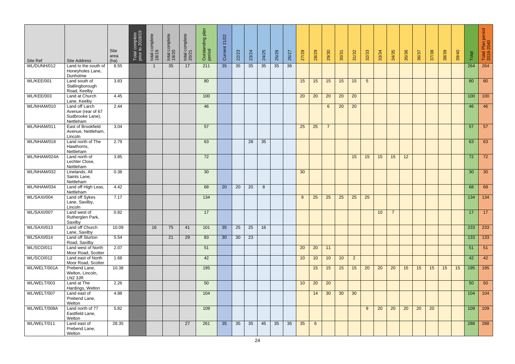|                         |                                                                       | Site<br>area<br>(ha) | Total complete<br>prior to 2018/19 | total complete<br>18/19 | total complete<br>19/20 | total complete<br>20/21 | plan<br>Outstanding<br>period | 21/22<br>Current | 22/23 | 23/24 | 24/25 | 25/26 | 26/27 | 27/28 | 28/29           | 29/30           | 30/31           | 31/32          | 32/33           | 33/34 | 34/35           | 35/36           | 36/37           | 37/38           | 38/39 | 39/40 | Total | Total Plan period<br>2018-2040 |
|-------------------------|-----------------------------------------------------------------------|----------------------|------------------------------------|-------------------------|-------------------------|-------------------------|-------------------------------|------------------|-------|-------|-------|-------|-------|-------|-----------------|-----------------|-----------------|----------------|-----------------|-------|-----------------|-----------------|-----------------|-----------------|-------|-------|-------|--------------------------------|
| Site Ref<br>WL/DUNH/012 | <b>Site Address</b><br>Land to the south of                           | 8.55                 |                                    | $\overline{1}$          | 35                      | 17                      | 211                           | 35               | 35    | 35    | 35    | 35    | 36    |       |                 |                 |                 |                |                 |       |                 |                 |                 |                 |       |       | 264   | 264                            |
|                         | Honeyholes Lane,<br>Dunholme                                          |                      |                                    |                         |                         |                         |                               |                  |       |       |       |       |       |       |                 |                 |                 |                |                 |       |                 |                 |                 |                 |       |       |       |                                |
| WL/KEE/001              | Land south of<br>Stallingborough<br>Road, Keelby                      | 3.83                 |                                    |                         |                         |                         | 80                            |                  |       |       |       |       |       | 15    | 15              | 15              | 15              | 15             | $5\phantom{.0}$ |       |                 |                 |                 |                 |       |       | 80    | 80                             |
| WL/KEE/003              | Land at Church<br>Lane, Keelby                                        | 4.45                 |                                    |                         |                         |                         | 100                           |                  |       |       |       |       |       | 20    | 20              | 20              | 20              | 20             |                 |       |                 |                 |                 |                 |       |       | 100   | 100                            |
| WL/NHAM/010             | Land off Larch<br>Avenue (rear of 67<br>Sudbrooke Lane),<br>Nettleham | 2.44                 |                                    |                         |                         |                         | 46                            |                  |       |       |       |       |       |       |                 | $6^{\circ}$     | 20              | 20             |                 |       |                 |                 |                 |                 |       |       | 46    | 46                             |
| WL/NHAM/011             | East of Brookfield<br>Avenue, Nettleham,<br>Lincoln                   | 3.04                 |                                    |                         |                         |                         | 57                            |                  |       |       |       |       |       | 25    | 25              | $\overline{7}$  |                 |                |                 |       |                 |                 |                 |                 |       |       | 57    | 57                             |
| WL/NHAM/018             | Land north of The<br>Hawthorns,<br>Nettleham                          | 2.79                 |                                    |                         |                         |                         | 63                            |                  |       | 28    | 35    |       |       |       |                 |                 |                 |                |                 |       |                 |                 |                 |                 |       |       | 63    | 63                             |
| WL/NHAM/024A            | Land north of<br>Lechler Close,<br>Nettleham                          | 3.85                 |                                    |                         |                         |                         | 72                            |                  |       |       |       |       |       |       |                 |                 |                 | 15             | 15              | 15    | 15              | 12 <sup>°</sup> |                 |                 |       |       | 72    | 72                             |
| WL/NHAM/032             | Linelands, All<br>Saints Lane,<br>Nettleham                           | 0.38                 |                                    |                         |                         |                         | 30                            |                  |       |       |       |       |       | 30    |                 |                 |                 |                |                 |       |                 |                 |                 |                 |       |       | 30    | 30                             |
| WL/NHAM/034             | Land off High Leas,<br>Nettleham                                      | 4.42                 |                                    |                         |                         |                         | 68                            | 20               | 20    | 20    | 8     |       |       |       |                 |                 |                 |                |                 |       |                 |                 |                 |                 |       |       | 68    | 68                             |
| WL/SAXI/004             | Land off Sykes<br>Lane, Saxilby,<br>Lincoln                           | 7.17                 |                                    |                         |                         |                         | 134                           |                  |       |       |       |       |       | 9     | 25              | 25              | 25              | 25             | 25              |       |                 |                 |                 |                 |       |       | 134   | 134                            |
| WL/SAXI/007             | Land west of<br>Rutherglen Park,<br>Saxilby                           | 0.82                 |                                    |                         |                         |                         | 17                            |                  |       |       |       |       |       |       |                 |                 |                 |                |                 | 10    | $\overline{7}$  |                 |                 |                 |       |       | 17    | 17                             |
| WL/SAXI/013             | Land off Church<br>Lane, Saxilby                                      | 10.09                |                                    | 16                      | 75                      | 41                      | 101                           | 35               | 25    | 25    | 16    |       |       |       |                 |                 |                 |                |                 |       |                 |                 |                 |                 |       |       | 233   | 233                            |
| WL/SAXI/014             | Land off Sturton<br>Road, Saxilby                                     | 5.54                 |                                    |                         | 21                      | 29                      | 83                            | 30               | 30    | 23    |       |       |       |       |                 |                 |                 |                |                 |       |                 |                 |                 |                 |       |       | 133   | 133                            |
| WL/SCO/011              | Land west of North<br>Moor Road, Scotter                              | 2.07                 |                                    |                         |                         |                         | 51                            |                  |       |       |       |       |       | 20    | 20              | 11              |                 |                |                 |       |                 |                 |                 |                 |       |       | 51    | 51                             |
| WL/SCO/012              | Land east of North<br>Moor Road, Scotter                              | 1.68                 |                                    |                         |                         |                         | 42                            |                  |       |       |       |       |       | 10    | 10              | 10              | 10              | 2 <sup>2</sup> |                 |       |                 |                 |                 |                 |       |       | 42    | 42                             |
| WL/WELT/001A            | Prebend Lane,<br>Welton, Lincoln,<br>LN2 3JR                          | 10.38                |                                    |                         |                         |                         | 195                           |                  |       |       |       |       |       |       | 15              | 15              | 15              | 15             | 20              | 20    | 20              | 15              | 15              | 15              | 15    | 15    | 195   | 195                            |
| WL/WELT/003             | Land at The<br>Hardings, Welton                                       | 2.26                 |                                    |                         |                         |                         | 50                            |                  |       |       |       |       |       | 10    | $\overline{20}$ | $\overline{20}$ |                 |                |                 |       |                 |                 |                 |                 |       |       | 50    | 50                             |
| WL/WELT/007             | Land east of<br>Prebend Lane,<br>Welton                               | 4.88                 |                                    |                         |                         |                         | 104                           |                  |       |       |       |       |       |       | 14              | 30              | 30 <sup>°</sup> | 30             |                 |       |                 |                 |                 |                 |       |       | 104   | 104                            |
| WL/WELT/008A            | Land north of 77<br>Eastfield Lane,<br>Welton                         | 5.82                 |                                    |                         |                         |                         | 109                           |                  |       |       |       |       |       |       |                 |                 |                 |                | 9               | 20    | $\overline{20}$ | $\overline{20}$ | $\overline{20}$ | $\overline{20}$ |       |       | 109   | 109                            |
| WL/WELT/011             | Land east of<br>Prebend Lane,<br>Welton                               | 28.35                |                                    |                         |                         | $\overline{27}$         | 261                           | 35               | 35    | 35    | 45    | 35    | 35    | 35    | $6\overline{6}$ |                 |                 |                |                 |       |                 |                 |                 |                 |       |       | 288   | 288                            |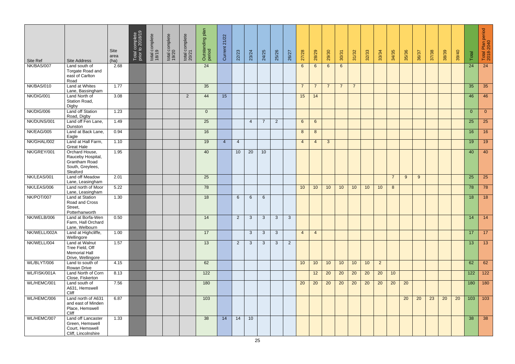| Site Ref     | <b>Site Address</b>                                                                  | Site<br>area<br>(ha) | Total complete<br>prior to 2018/19 | total complete<br>18/19 | total complete<br>19/20 | total complete<br>20/21 | plan<br>Outstanding<br>period | 21/22<br>Current | 22/23           | 23/24                   | 24/25                              | 25/26                   | 26/27                   | 27/28           | 28/29           | 29/30           | 30/31           | 31/32           | 32/33           | 33/34           | 34/35           | 35/36           | 36/37       | 37/38 | 38/39 | 39/40 | Total          | Total Plan period<br>2018-2040 |
|--------------|--------------------------------------------------------------------------------------|----------------------|------------------------------------|-------------------------|-------------------------|-------------------------|-------------------------------|------------------|-----------------|-------------------------|------------------------------------|-------------------------|-------------------------|-----------------|-----------------|-----------------|-----------------|-----------------|-----------------|-----------------|-----------------|-----------------|-------------|-------|-------|-------|----------------|--------------------------------|
| NK/BAS/007   | Land south of                                                                        | 2.68                 |                                    |                         |                         |                         | 24                            |                  |                 |                         |                                    |                         |                         | $6\phantom{1}$  | $6\phantom{1}6$ | $6^{\circ}$     | $6\overline{6}$ |                 |                 |                 |                 |                 |             |       |       |       | 24             | 24                             |
|              | Torgate Road and<br>east of Carlton<br>Road                                          |                      |                                    |                         |                         |                         |                               |                  |                 |                         |                                    |                         |                         |                 |                 |                 |                 |                 |                 |                 |                 |                 |             |       |       |       |                |                                |
| NK/BAS/010   | Land at Whites<br>Lane, Bassingham                                                   | 1.77                 |                                    |                         |                         |                         | 35                            |                  |                 |                         |                                    |                         |                         | $\overline{7}$  | $\overline{7}$  | $\overline{7}$  | $\overline{7}$  | $\overline{7}$  |                 |                 |                 |                 |             |       |       |       | 35             | 35                             |
| NK/DIG/001   | Land North of<br>Station Road,<br>Digby                                              | 3.08                 |                                    |                         |                         | $\overline{2}$          | 44                            | 15               |                 |                         |                                    |                         |                         | 15              | 14              |                 |                 |                 |                 |                 |                 |                 |             |       |       |       | 46             | 46                             |
| NK/DIG/006   | <b>Land off Station</b><br>Road, Digby                                               | 1.23                 |                                    |                         |                         |                         | $\overline{0}$                |                  |                 |                         |                                    |                         |                         |                 |                 |                 |                 |                 |                 |                 |                 |                 |             |       |       |       | $\overline{0}$ | $\overline{0}$                 |
| NK/DUNS/001  | Land off Fen Lane,<br>Dunston                                                        | 1.49                 |                                    |                         |                         |                         | 25                            |                  |                 | $\overline{4}$          | $\overline{7}$                     | $\overline{2}$          |                         | $6\overline{6}$ | $6\overline{6}$ |                 |                 |                 |                 |                 |                 |                 |             |       |       |       | 25             | $\overline{25}$                |
| NK/EAG/005   | Land at Back Lane,<br>Eagle                                                          | 0.94                 |                                    |                         |                         |                         | 16                            |                  |                 |                         |                                    |                         |                         | 8               | 8               |                 |                 |                 |                 |                 |                 |                 |             |       |       |       | 16             | 16                             |
| NK/GHAL/002  | Land at Hall Farm,<br><b>Great Hale</b>                                              | 1.10                 |                                    |                         |                         |                         | 19                            | $\overline{4}$   | $\overline{4}$  |                         |                                    |                         |                         | $\overline{4}$  | $\overline{4}$  | $\mathbf{3}$    |                 |                 |                 |                 |                 |                 |             |       |       |       | 19             | 19                             |
| NK/GREY/001  | Orchard House,<br>Rauceby Hospital,<br>Grantham Road<br>South, Greylees,<br>Sleaford | 1.95                 |                                    |                         |                         |                         | 40                            |                  | 10 <sup>°</sup> | 20                      | 10                                 |                         |                         |                 |                 |                 |                 |                 |                 |                 |                 |                 |             |       |       |       | 40             | 40                             |
| NK/LEAS/001  | Land off Meadow<br>Lane, Leasingham                                                  | 2.01                 |                                    |                         |                         |                         | 25                            |                  |                 |                         |                                    |                         |                         |                 |                 |                 |                 |                 |                 |                 | $\overline{7}$  | 9               | $9^{\circ}$ |       |       |       | 25             | $\overline{25}$                |
| NK/LEAS/006  | Land north of Moor<br>Lane, Leasingham                                               | 5.22                 |                                    |                         |                         |                         | 78                            |                  |                 |                         |                                    |                         |                         | 10              | 10              | 10              | 10              | 10              | 10              | 10              | 8 <sup>°</sup>  |                 |             |       |       |       | 78             | 78                             |
| NK/POT/007   | Land at Station<br>Road and Cross<br>Street,<br>Potterhanworth                       | 1.30                 |                                    |                         |                         |                         | 18                            |                  | 6               | 6                       | $6\overline{6}$                    |                         |                         |                 |                 |                 |                 |                 |                 |                 |                 |                 |             |       |       |       | 18             | 18                             |
| NK/WELB/006  | Land at Borfa-Wen<br>Farm, Hall Orchard<br>Lane, Welbourn                            | 0.50                 |                                    |                         |                         |                         | 14                            |                  | $\overline{2}$  | $\overline{\mathbf{3}}$ | $\overline{\overline{\mathbf{3}}}$ | $\overline{\mathbf{3}}$ | $\overline{\mathbf{3}}$ |                 |                 |                 |                 |                 |                 |                 |                 |                 |             |       |       |       | $14$ 14        |                                |
| NK/WELL/002A | Land at Highcliffe,<br>Wellingore                                                    | 1.00                 |                                    |                         |                         |                         | 17                            |                  |                 | 3 <sup>1</sup>          | $\mathbf{3}$                       | $\mathbf{3}$            |                         | $\overline{4}$  | $\overline{4}$  |                 |                 |                 |                 |                 |                 |                 |             |       |       |       | 17             | 17                             |
| NK/WELL/004  | Land at Walnut<br>Tree Field, Off<br><b>Memorial Hall</b><br>Drive, Wellingore       | 1.57                 |                                    |                         |                         |                         | 13                            |                  | $2^{\circ}$     | $\mathbf{3}$            | $\mathbf{3}$                       | $\mathbf{3}$            | $\overline{2}$          |                 |                 |                 |                 |                 |                 |                 |                 |                 |             |       |       |       | 13             | 13                             |
| WL/BLYT/006  | Land to south of<br>Rowan Drive                                                      | 4.15                 |                                    |                         |                         |                         | 62                            |                  |                 |                         |                                    |                         |                         | 10              | 10              | 10              | 10              | 10              | 10              | $\overline{2}$  |                 |                 |             |       |       |       | 62             | 62                             |
| WL/FISK/001A | Land North of Corn<br>Close, Fiskerton                                               | 8.13                 |                                    |                         |                         |                         | 122                           |                  |                 |                         |                                    |                         |                         |                 | 12              | 20              | 20              | 20              | 20              | $\overline{20}$ | 10              |                 |             |       |       |       | 122            | 122                            |
| WL/HEMC/001  | Land south of<br>A631, Hemswell<br>Cliff                                             | 7.56                 |                                    |                         |                         |                         | 180                           |                  |                 |                         |                                    |                         |                         | $\overline{20}$ | $\overline{20}$ | $\overline{20}$ | $\overline{20}$ | $\overline{20}$ | $\overline{20}$ | $\overline{20}$ | $\overline{20}$ | $\overline{20}$ |             |       |       |       | 180            | 180                            |
| WL/HEMC/006  | Land north of A631<br>and east of Minden<br>Place, Hemswell<br>Cliff                 | 6.87                 |                                    |                         |                         |                         | 103                           |                  |                 |                         |                                    |                         |                         |                 |                 |                 |                 |                 |                 |                 |                 | 20              | 20          | 23    | 20    | 20    | 103            | 103                            |
| WL/HEMC/007  | Land off Lancaster<br>Green, Hemswell<br>Court, Hemswell<br>Cliff, Lincolnshire      | 1.33                 |                                    |                         |                         |                         | 38                            | 14               | 14              | 10                      |                                    |                         |                         |                 |                 |                 |                 |                 |                 |                 |                 |                 |             |       |       |       | 38             | 38                             |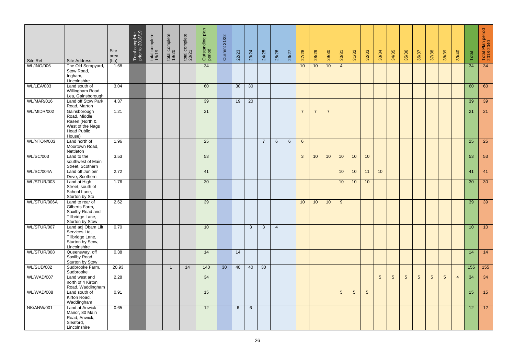| Site Ref          | <b>Site Address</b>                                                                                | Site<br>area<br>(ha) | Total complete<br>prior to 2018/19 | total complete<br>18/19 | total complete<br>19/20 | total complete<br>20/21 | Outstanding plan<br>period | 21/22<br>Current | 22/23          | 23/24           | 24/25          | 25/26          | 26/27 | 27/28           | 28/29          | 29/30          | 30/31          | 31/32           | 32/33           | 33/34           | 34/35           | 35/36          | 36/37          | 37/38          | 38/39          | 39/40          | Total           | Total Plan period<br>2018-2040 |
|-------------------|----------------------------------------------------------------------------------------------------|----------------------|------------------------------------|-------------------------|-------------------------|-------------------------|----------------------------|------------------|----------------|-----------------|----------------|----------------|-------|-----------------|----------------|----------------|----------------|-----------------|-----------------|-----------------|-----------------|----------------|----------------|----------------|----------------|----------------|-----------------|--------------------------------|
| <b>WL/ING/006</b> | The Old Scrapyard,<br>Stow Road,<br>Ingham,<br>Lincolnshire                                        | 1.68                 |                                    |                         |                         |                         | 34                         |                  |                |                 |                |                |       | 10              | 10             | 10             | $\overline{4}$ |                 |                 |                 |                 |                |                |                |                |                | $\overline{34}$ | 34                             |
| WL/LEA/003        | Land south of<br>Willingham Road,<br>Lea, Gainsborough                                             | 3.04                 |                                    |                         |                         |                         | 60                         |                  | 30             | 30              |                |                |       |                 |                |                |                |                 |                 |                 |                 |                |                |                |                |                | 60              | 60                             |
| WL/MAR/016        | Land off Stow Park<br>Road, Marton                                                                 | 4.37                 |                                    |                         |                         |                         | 39                         |                  | 19             | 20              |                |                |       |                 |                |                |                |                 |                 |                 |                 |                |                |                |                |                | 39              | 39                             |
| WL/MIDR/002       | Gainsborough<br>Road, Middle<br>Rasen (North &<br>West of the Nags<br><b>Head Public</b><br>House) | 1.21                 |                                    |                         |                         |                         | 21                         |                  |                |                 |                |                |       | $\overline{7}$  | $\overline{7}$ | $\overline{7}$ |                |                 |                 |                 |                 |                |                |                |                |                | 21              | 21                             |
| WL/NTON/003       | Land north of<br>Moortown Road,<br>Nettleton                                                       | 1.96                 |                                    |                         |                         |                         | 25                         |                  |                |                 | $\overline{7}$ | 6              | 6     | $6\phantom{1}6$ |                |                |                |                 |                 |                 |                 |                |                |                |                |                | 25              | 25                             |
| <b>WL/SC/003</b>  | Land to the<br>southwest of Main<br>Street, Scothern                                               | 3.53                 |                                    |                         |                         |                         | 53                         |                  |                |                 |                |                |       | $\mathbf{3}$    | 10             | 10             | 10             | 10              | 10              |                 |                 |                |                |                |                |                | 53              | 53                             |
| WL/SC/004A        | Land off Juniper<br>Drive, Scothern                                                                | 2.72                 |                                    |                         |                         |                         | 41                         |                  |                |                 |                |                |       |                 |                |                | 10             | 10              | 11              | 10              |                 |                |                |                |                |                | 41              | 41                             |
| WL/STUR/003       | Land at High<br>Street, south of<br>School Lane,<br>Sturton by Sto                                 | 1.76                 |                                    |                         |                         |                         | 30                         |                  |                |                 |                |                |       |                 |                |                | 10             | 10              | 10              |                 |                 |                |                |                |                |                | 30              | 30 <sup>7</sup>                |
| WL/STUR/006A      | Land to rear of<br>Gilberts Farm,<br>Saxilby Road and<br>Tillbridge Lane,<br>Sturton by Stow       | 2.62                 |                                    |                         |                         |                         | 39                         |                  |                |                 |                |                |       | 10              | 10             | 10             | 9              |                 |                 |                 |                 |                |                |                |                |                | 39              | 39                             |
| WL/STUR/007       | Land adj Obam Lift<br>Services Ltd,<br>Tillbridge Lane,<br>Sturton by Stow,<br>Lincolnshire        | 0.70                 |                                    |                         |                         |                         | 10                         |                  |                | $\mathbf{3}$    | $\mathbf{3}$   | $\overline{4}$ |       |                 |                |                |                |                 |                 |                 |                 |                |                |                |                |                | 10 <sup>°</sup> | 10                             |
| WL/STUR/008       | Queensway, off<br>Saxilby Road,<br>Sturton by Stow                                                 | 0.38                 |                                    |                         |                         |                         | 14                         |                  | 14             |                 |                |                |       |                 |                |                |                |                 |                 |                 |                 |                |                |                |                |                | 14              | 14                             |
| <b>WL/SUD/002</b> | Sudbrooke Farm,<br>Sudbrooke                                                                       | 20.93                |                                    |                         | -1                      | 14                      | 140                        | $\overline{30}$  | 40             | 40              | 30             |                |       |                 |                |                |                |                 |                 |                 |                 |                |                |                |                |                | 155             | 155                            |
| WL/WAD/007        | Land west and<br>north of 4 Kirton<br>Road, Waddingham                                             | 2.28                 |                                    |                         |                         |                         | 34                         |                  |                |                 |                |                |       |                 |                |                |                |                 |                 | $5\phantom{.0}$ | $5\phantom{.0}$ | 5 <sup>5</sup> | 5 <sup>5</sup> | 5 <sup>5</sup> | 5 <sup>5</sup> | $\overline{4}$ | 34              | 34                             |
| WL/WAD/008        | Land south of<br>Kirton Road,<br>Waddingham                                                        | 0.91                 |                                    |                         |                         |                         | 15                         |                  |                |                 |                |                |       |                 |                |                | 5 <sup>5</sup> | $5\phantom{.0}$ | $5\overline{)}$ |                 |                 |                |                |                |                |                | 15              | 15                             |
| NK/ANW/001        | Land at Anwick<br>Manor, 80 Main<br>Road, Anwick,<br>Sleaford,<br>Lincolnshire                     | 0.65                 |                                    |                         |                         |                         | 12                         |                  | $6\phantom{1}$ | $6\overline{6}$ |                |                |       |                 |                |                |                |                 |                 |                 |                 |                |                |                |                |                | 12              | 12                             |